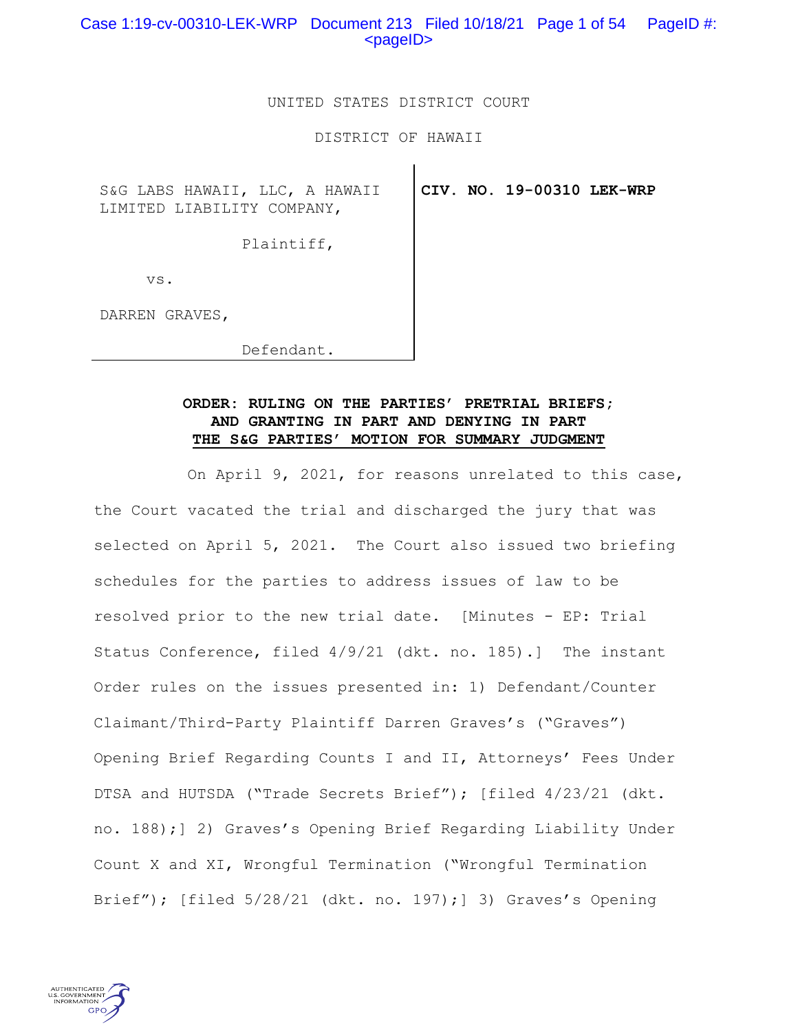Case 1:19-cv-00310-LEK-WRP Document 213 Filed 10/18/21 Page 1 of 54 PageID #:  $<$ pageID $>$ 

## UNITED STATES DISTRICT COURT

DISTRICT OF HAWAII

S&G LABS HAWAII, LLC, A HAWAII LIMITED LIABILITY COMPANY,

**CIV. NO. 19-00310 LEK-WRP**

Plaintiff,

vs.

DARREN GRAVES,

Defendant.

# **ORDER: RULING ON THE PARTIES' PRETRIAL BRIEFS; AND GRANTING IN PART AND DENYING IN PART THE S&G PARTIES' MOTION FOR SUMMARY JUDGMENT**

 On April 9, 2021, for reasons unrelated to this case, the Court vacated the trial and discharged the jury that was selected on April 5, 2021. The Court also issued two briefing schedules for the parties to address issues of law to be resolved prior to the new trial date. [Minutes - EP: Trial Status Conference, filed 4/9/21 (dkt. no. 185).] The instant Order rules on the issues presented in: 1) Defendant/Counter Claimant/Third-Party Plaintiff Darren Graves's ("Graves") Opening Brief Regarding Counts I and II, Attorneys' Fees Under DTSA and HUTSDA ("Trade Secrets Brief"); [filed 4/23/21 (dkt. no. 188);] 2) Graves's Opening Brief Regarding Liability Under Count X and XI, Wrongful Termination ("Wrongful Termination Brief"); [filed 5/28/21 (dkt. no. 197);] 3) Graves's Opening

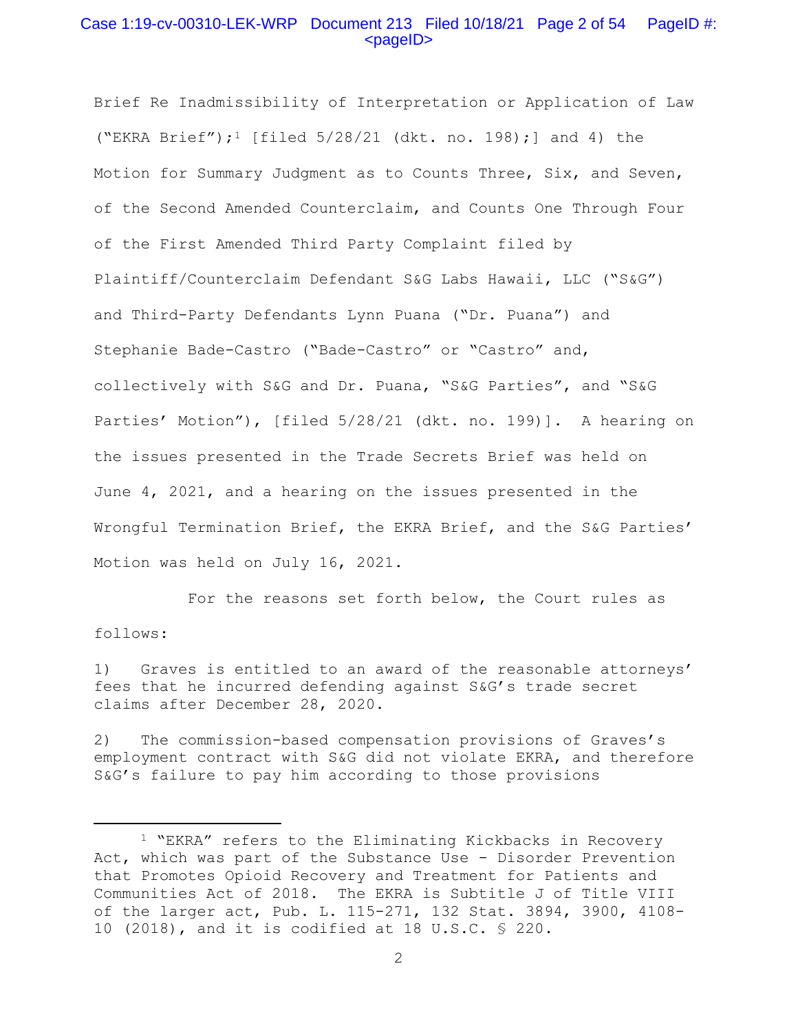# Case 1:19-cv-00310-LEK-WRP Document 213 Filed 10/18/21 Page 2 of 54 PageID #:  $<$ pageID $>$

Brief Re Inadmissibility of Interpretation or Application of Law ("EKRA Brief");<sup>1</sup> [filed  $5/28/21$  (dkt. no. 198);] and 4) the Motion for Summary Judgment as to Counts Three, Six, and Seven, of the Second Amended Counterclaim, and Counts One Through Four of the First Amended Third Party Complaint filed by Plaintiff/Counterclaim Defendant S&G Labs Hawaii, LLC ("S&G") and Third-Party Defendants Lynn Puana ("Dr. Puana") and Stephanie Bade-Castro ("Bade-Castro" or "Castro" and, collectively with S&G and Dr. Puana, "S&G Parties", and "S&G Parties' Motion"), [filed 5/28/21 (dkt. no. 199)]. A hearing on the issues presented in the Trade Secrets Brief was held on June 4, 2021, and a hearing on the issues presented in the Wrongful Termination Brief, the EKRA Brief, and the S&G Parties' Motion was held on July 16, 2021.

 For the reasons set forth below, the Court rules as follows:

1) Graves is entitled to an award of the reasonable attorneys' fees that he incurred defending against S&G's trade secret claims after December 28, 2020.

2) The commission-based compensation provisions of Graves's employment contract with S&G did not violate EKRA, and therefore S&G's failure to pay him according to those provisions

<sup>1 &</sup>quot;EKRA" refers to the Eliminating Kickbacks in Recovery Act, which was part of the Substance Use - Disorder Prevention that Promotes Opioid Recovery and Treatment for Patients and Communities Act of 2018. The EKRA is Subtitle J of Title VIII of the larger act, Pub. L. 115-271, 132 Stat. 3894, 3900, 4108- 10 (2018), and it is codified at 18 U.S.C. § 220.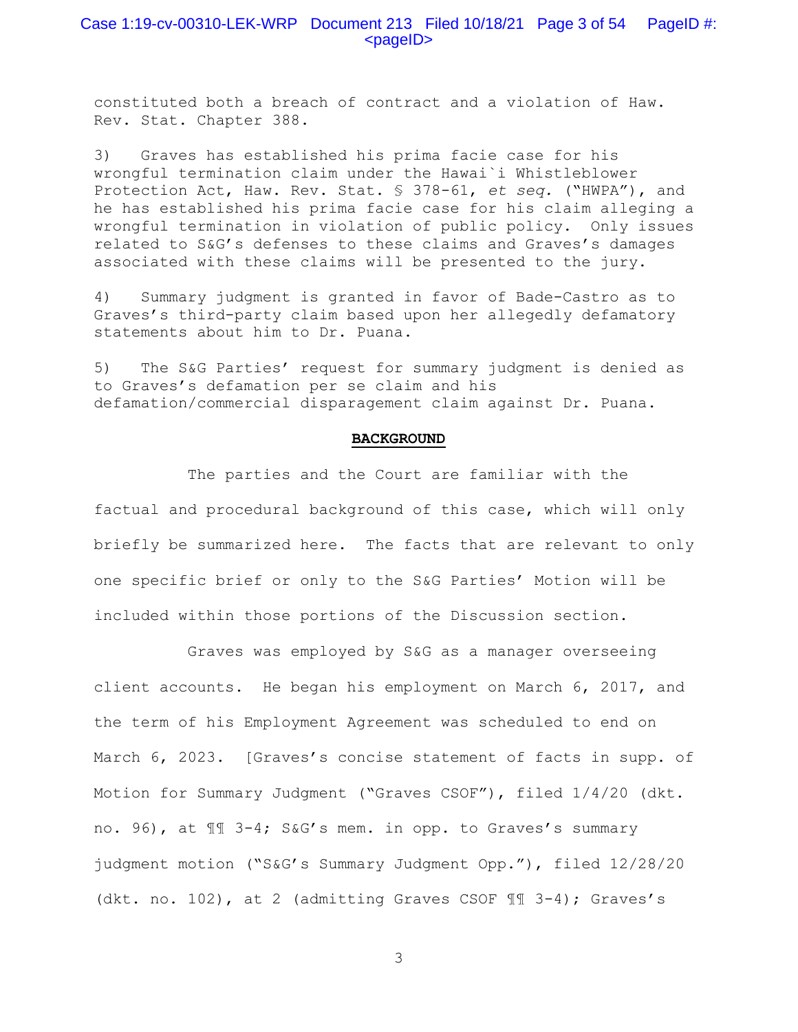constituted both a breach of contract and a violation of Haw. Rev. Stat. Chapter 388.

3) Graves has established his prima facie case for his wrongful termination claim under the Hawai`i Whistleblower Protection Act, Haw. Rev. Stat. § 378-61, *et seq.* ("HWPA"), and he has established his prima facie case for his claim alleging a wrongful termination in violation of public policy. Only issues related to S&G's defenses to these claims and Graves's damages associated with these claims will be presented to the jury.

4) Summary judgment is granted in favor of Bade-Castro as to Graves's third-party claim based upon her allegedly defamatory statements about him to Dr. Puana.

5) The S&G Parties' request for summary judgment is denied as to Graves's defamation per se claim and his defamation/commercial disparagement claim against Dr. Puana.

#### **BACKGROUND**

 The parties and the Court are familiar with the factual and procedural background of this case, which will only briefly be summarized here. The facts that are relevant to only one specific brief or only to the S&G Parties' Motion will be included within those portions of the Discussion section.

 Graves was employed by S&G as a manager overseeing client accounts. He began his employment on March 6, 2017, and the term of his Employment Agreement was scheduled to end on March 6, 2023. [Graves's concise statement of facts in supp. of Motion for Summary Judgment ("Graves CSOF"), filed 1/4/20 (dkt. no. 96), at ¶¶ 3-4; S&G's mem. in opp. to Graves's summary judgment motion ("S&G's Summary Judgment Opp."), filed 12/28/20 (dkt. no. 102), at 2 (admitting Graves CSOF ¶¶ 3-4); Graves's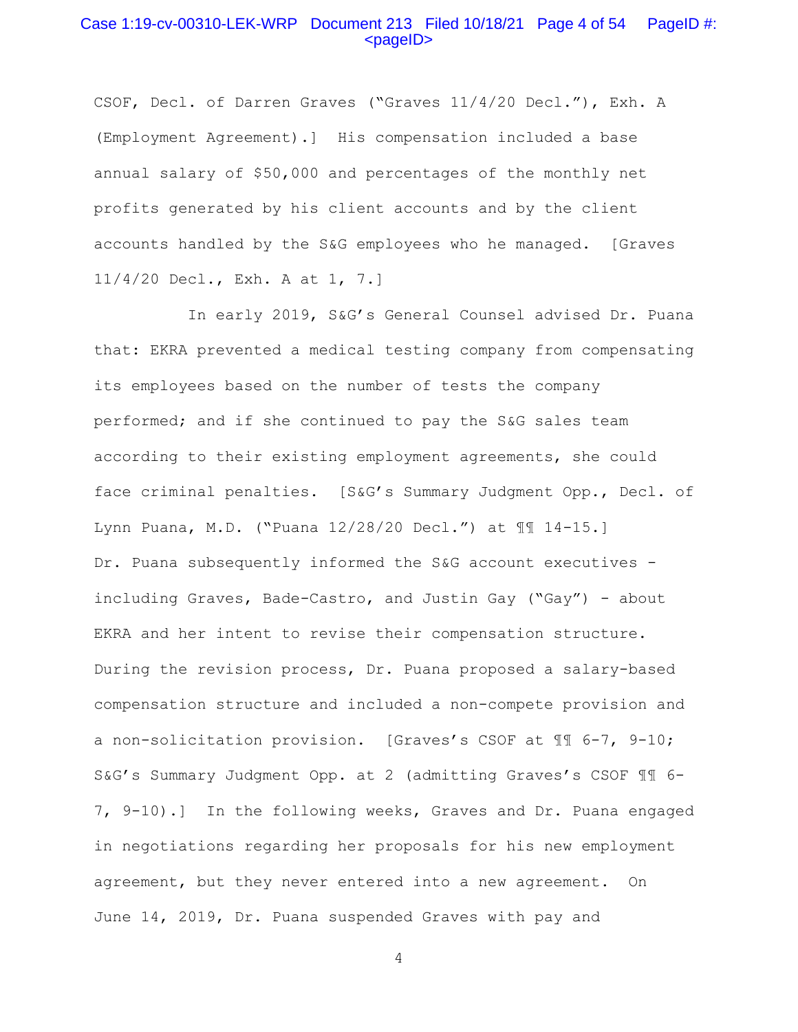# Case 1:19-cv-00310-LEK-WRP Document 213 Filed 10/18/21 Page 4 of 54 PageID #:  $<sub>pa</sub>$ gelD $>$ </sub>

CSOF, Decl. of Darren Graves ("Graves 11/4/20 Decl."), Exh. A (Employment Agreement).] His compensation included a base annual salary of \$50,000 and percentages of the monthly net profits generated by his client accounts and by the client accounts handled by the S&G employees who he managed. [Graves 11/4/20 Decl., Exh. A at 1, 7.]

 In early 2019, S&G's General Counsel advised Dr. Puana that: EKRA prevented a medical testing company from compensating its employees based on the number of tests the company performed; and if she continued to pay the S&G sales team according to their existing employment agreements, she could face criminal penalties. [S&G's Summary Judgment Opp., Decl. of Lynn Puana, M.D. ("Puana 12/28/20 Decl.") at ¶¶ 14-15.] Dr. Puana subsequently informed the S&G account executives including Graves, Bade-Castro, and Justin Gay ("Gay") - about EKRA and her intent to revise their compensation structure. During the revision process, Dr. Puana proposed a salary-based compensation structure and included a non-compete provision and a non-solicitation provision. [Graves's CSOF at ¶¶ 6-7, 9-10; S&G's Summary Judgment Opp. at 2 (admitting Graves's CSOF ¶¶ 6- 7, 9-10).] In the following weeks, Graves and Dr. Puana engaged in negotiations regarding her proposals for his new employment agreement, but they never entered into a new agreement. On June 14, 2019, Dr. Puana suspended Graves with pay and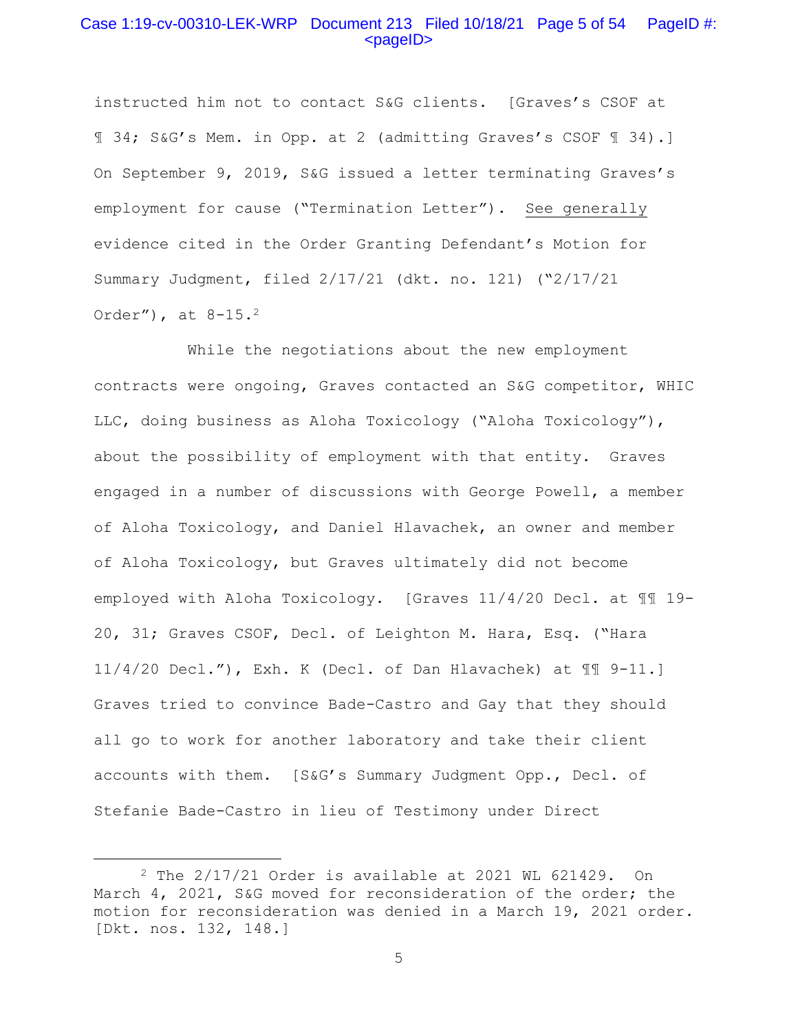# Case 1:19-cv-00310-LEK-WRP Document 213 Filed 10/18/21 Page 5 of 54 PageID #:  $<$ pageID $>$

instructed him not to contact S&G clients. [Graves's CSOF at ¶ 34; S&G's Mem. in Opp. at 2 (admitting Graves's CSOF ¶ 34).] On September 9, 2019, S&G issued a letter terminating Graves's employment for cause ("Termination Letter"). See generally evidence cited in the Order Granting Defendant's Motion for Summary Judgment, filed 2/17/21 (dkt. no. 121) ("2/17/21 Order"), at 8-15.2

 While the negotiations about the new employment contracts were ongoing, Graves contacted an S&G competitor, WHIC LLC, doing business as Aloha Toxicology ("Aloha Toxicology"), about the possibility of employment with that entity. Graves engaged in a number of discussions with George Powell, a member of Aloha Toxicology, and Daniel Hlavachek, an owner and member of Aloha Toxicology, but Graves ultimately did not become employed with Aloha Toxicology. [Graves 11/4/20 Decl. at ¶¶ 19- 20, 31; Graves CSOF, Decl. of Leighton M. Hara, Esq. ("Hara 11/4/20 Decl."), Exh. K (Decl. of Dan Hlavachek) at ¶¶ 9-11.] Graves tried to convince Bade-Castro and Gay that they should all go to work for another laboratory and take their client accounts with them. [S&G's Summary Judgment Opp., Decl. of Stefanie Bade-Castro in lieu of Testimony under Direct

<sup>2</sup> The 2/17/21 Order is available at 2021 WL 621429. On March 4, 2021, S&G moved for reconsideration of the order; the motion for reconsideration was denied in a March 19, 2021 order. [Dkt. nos. 132, 148.]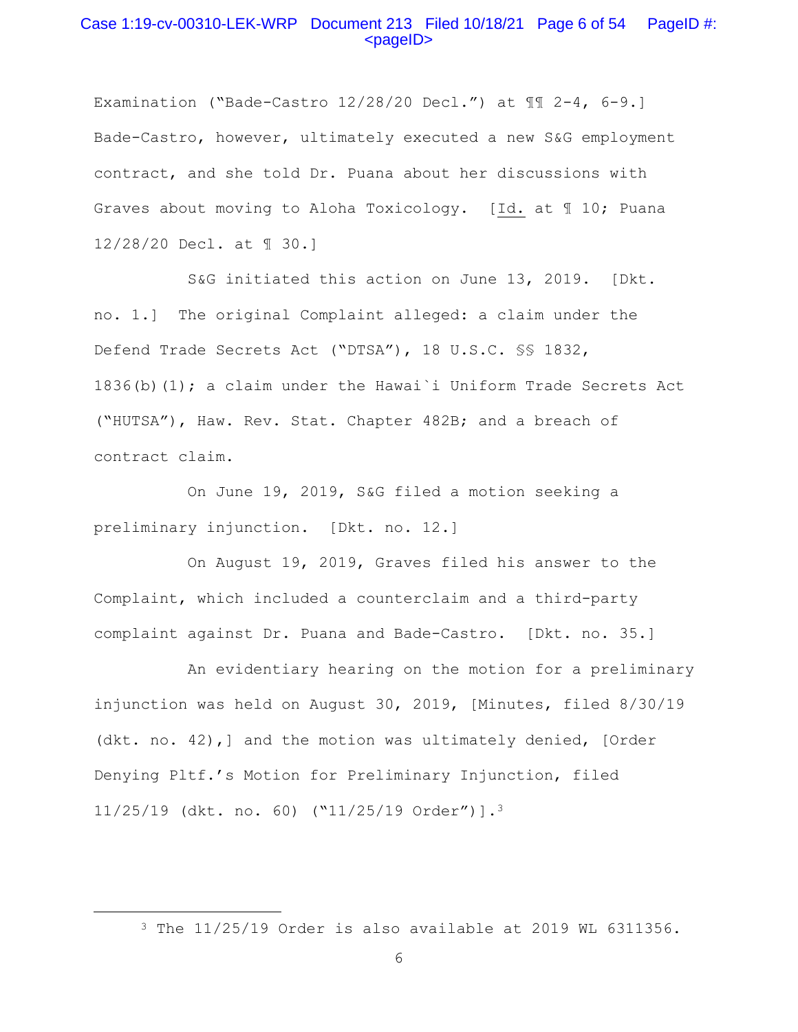# Case 1:19-cv-00310-LEK-WRP Document 213 Filed 10/18/21 Page 6 of 54 PageID #:  $<$ pageID $>$

Examination ("Bade-Castro  $12/28/20$  Decl.") at  $\P$  $I$  2-4, 6-9.1 Bade-Castro, however, ultimately executed a new S&G employment contract, and she told Dr. Puana about her discussions with Graves about moving to Aloha Toxicology. [Id. at ¶ 10; Puana 12/28/20 Decl. at ¶ 30.]

 S&G initiated this action on June 13, 2019. [Dkt. no. 1.] The original Complaint alleged: a claim under the Defend Trade Secrets Act ("DTSA"), 18 U.S.C. §§ 1832, 1836(b)(1); a claim under the Hawai`i Uniform Trade Secrets Act ("HUTSA"), Haw. Rev. Stat. Chapter 482B; and a breach of contract claim.

 On June 19, 2019, S&G filed a motion seeking a preliminary injunction. [Dkt. no. 12.]

 On August 19, 2019, Graves filed his answer to the Complaint, which included a counterclaim and a third-party complaint against Dr. Puana and Bade-Castro. [Dkt. no. 35.]

 An evidentiary hearing on the motion for a preliminary injunction was held on August 30, 2019, [Minutes, filed 8/30/19 (dkt. no. 42),] and the motion was ultimately denied, [Order Denying Pltf.'s Motion for Preliminary Injunction, filed 11/25/19 (dkt. no. 60) ("11/25/19 Order")].3

<sup>3</sup> The 11/25/19 Order is also available at 2019 WL 6311356.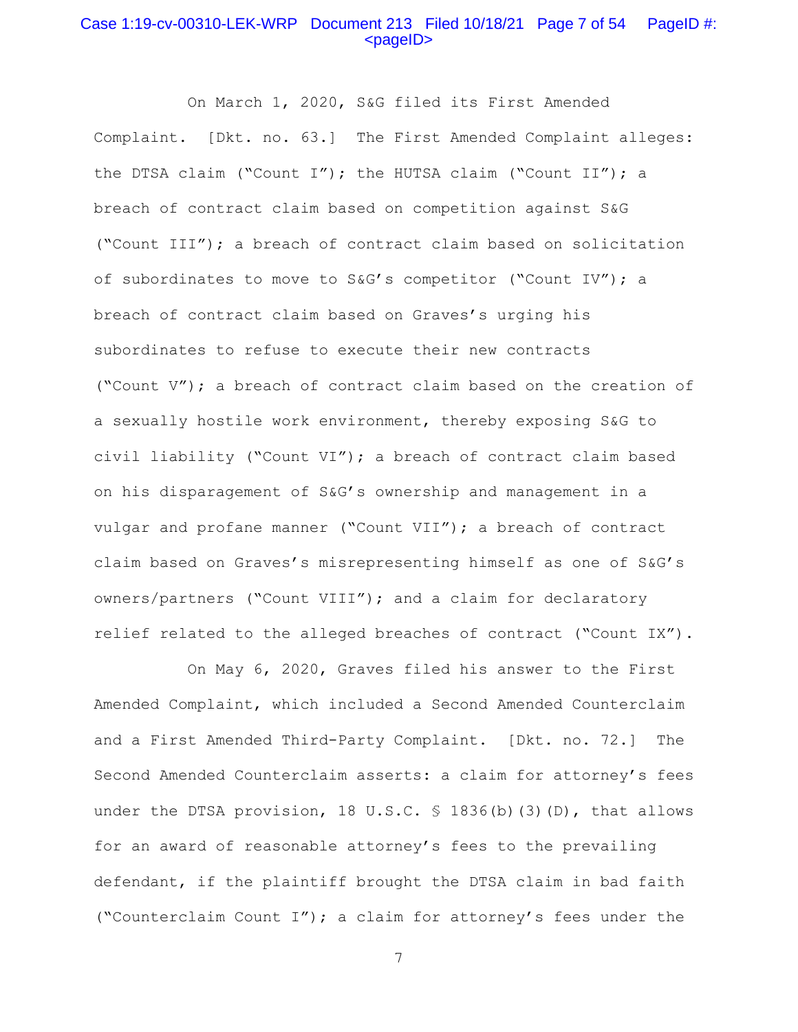# Case 1:19-cv-00310-LEK-WRP Document 213 Filed 10/18/21 Page 7 of 54 PageID #:  $<$ pageID $>$

 On March 1, 2020, S&G filed its First Amended Complaint. [Dkt. no. 63.] The First Amended Complaint alleges: the DTSA claim ("Count I"); the HUTSA claim ("Count II"); a breach of contract claim based on competition against S&G ("Count III"); a breach of contract claim based on solicitation of subordinates to move to S&G's competitor ("Count IV"); a breach of contract claim based on Graves's urging his subordinates to refuse to execute their new contracts ("Count V"); a breach of contract claim based on the creation of a sexually hostile work environment, thereby exposing S&G to civil liability ("Count VI"); a breach of contract claim based on his disparagement of S&G's ownership and management in a vulgar and profane manner ("Count VII"); a breach of contract claim based on Graves's misrepresenting himself as one of S&G's owners/partners ("Count VIII"); and a claim for declaratory relief related to the alleged breaches of contract ("Count IX").

 On May 6, 2020, Graves filed his answer to the First Amended Complaint, which included a Second Amended Counterclaim and a First Amended Third-Party Complaint. [Dkt. no. 72.] The Second Amended Counterclaim asserts: a claim for attorney's fees under the DTSA provision, 18 U.S.C. § 1836(b)(3)(D), that allows for an award of reasonable attorney's fees to the prevailing defendant, if the plaintiff brought the DTSA claim in bad faith ("Counterclaim Count I"); a claim for attorney's fees under the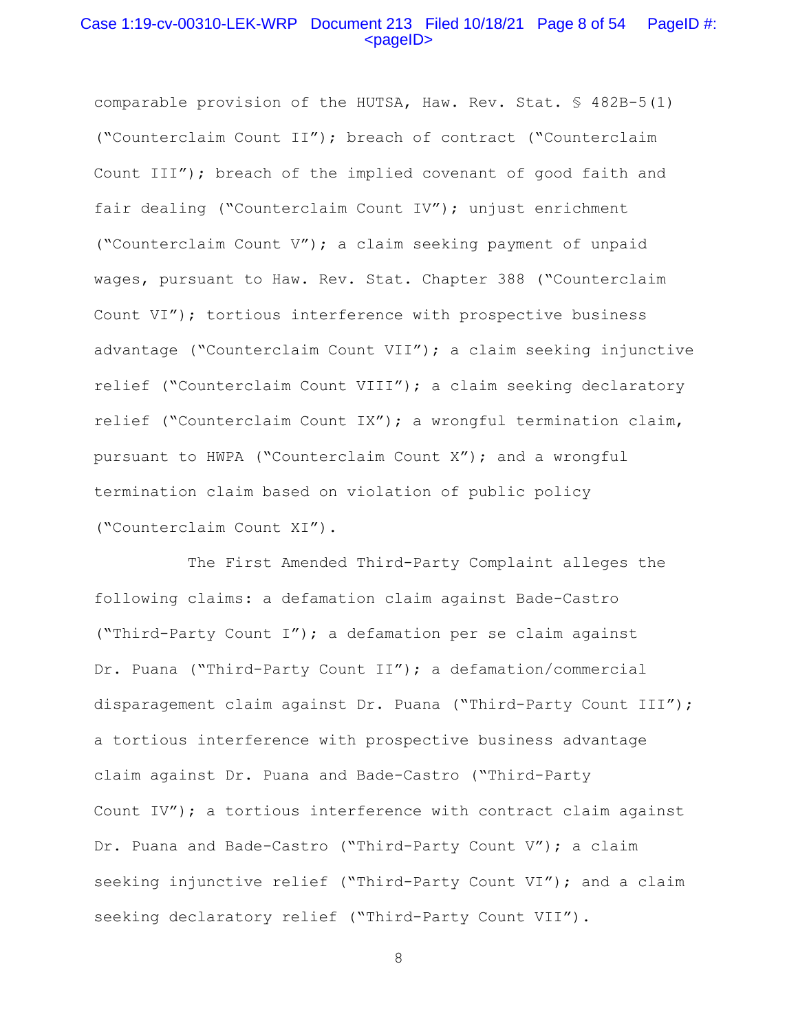# Case 1:19-cv-00310-LEK-WRP Document 213 Filed 10/18/21 Page 8 of 54 PageID #:  $<sub>pa</sub>qelD<sub>></sub>$ </sub>

comparable provision of the HUTSA, Haw. Rev. Stat. § 482B-5(1) ("Counterclaim Count II"); breach of contract ("Counterclaim Count III"); breach of the implied covenant of good faith and fair dealing ("Counterclaim Count IV"); unjust enrichment ("Counterclaim Count V"); a claim seeking payment of unpaid wages, pursuant to Haw. Rev. Stat. Chapter 388 ("Counterclaim Count VI"); tortious interference with prospective business advantage ("Counterclaim Count VII"); a claim seeking injunctive relief ("Counterclaim Count VIII"); a claim seeking declaratory relief ("Counterclaim Count IX"); a wrongful termination claim, pursuant to HWPA ("Counterclaim Count X"); and a wrongful termination claim based on violation of public policy ("Counterclaim Count XI").

 The First Amended Third-Party Complaint alleges the following claims: a defamation claim against Bade-Castro ("Third-Party Count I"); a defamation per se claim against Dr. Puana ("Third-Party Count II"); a defamation/commercial disparagement claim against Dr. Puana ("Third-Party Count III"); a tortious interference with prospective business advantage claim against Dr. Puana and Bade-Castro ("Third-Party Count IV"); a tortious interference with contract claim against Dr. Puana and Bade-Castro ("Third-Party Count V"); a claim seeking injunctive relief ("Third-Party Count VI"); and a claim seeking declaratory relief ("Third-Party Count VII").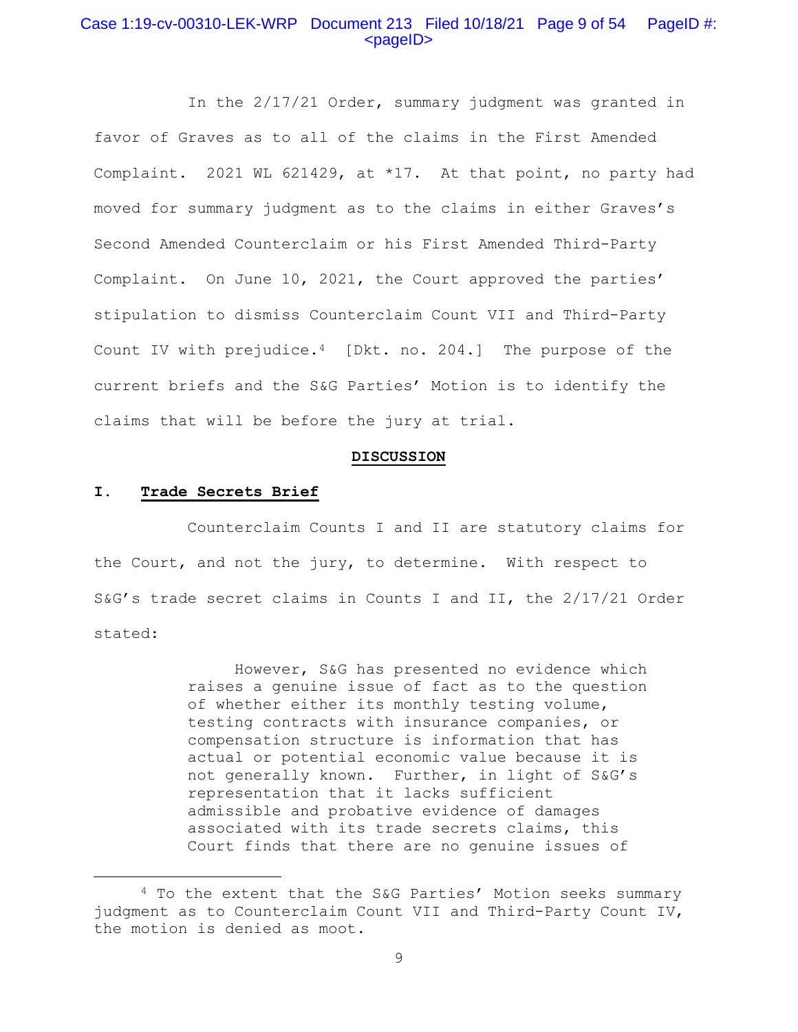# Case 1:19-cv-00310-LEK-WRP Document 213 Filed 10/18/21 Page 9 of 54 PageID #:  $<$ pageID $>$

 In the 2/17/21 Order, summary judgment was granted in favor of Graves as to all of the claims in the First Amended Complaint. 2021 WL 621429, at \*17. At that point, no party had moved for summary judgment as to the claims in either Graves's Second Amended Counterclaim or his First Amended Third-Party Complaint. On June 10, 2021, the Court approved the parties' stipulation to dismiss Counterclaim Count VII and Third-Party Count IV with prejudice.4 [Dkt. no. 204.] The purpose of the current briefs and the S&G Parties' Motion is to identify the claims that will be before the jury at trial.

#### **DISCUSSION**

#### **I. Trade Secrets Brief**

 Counterclaim Counts I and II are statutory claims for the Court, and not the jury, to determine. With respect to S&G's trade secret claims in Counts I and II, the 2/17/21 Order stated:

> However, S&G has presented no evidence which raises a genuine issue of fact as to the question of whether either its monthly testing volume, testing contracts with insurance companies, or compensation structure is information that has actual or potential economic value because it is not generally known. Further, in light of S&G's representation that it lacks sufficient admissible and probative evidence of damages associated with its trade secrets claims, this Court finds that there are no genuine issues of

<sup>4</sup> To the extent that the S&G Parties' Motion seeks summary judgment as to Counterclaim Count VII and Third-Party Count IV, the motion is denied as moot.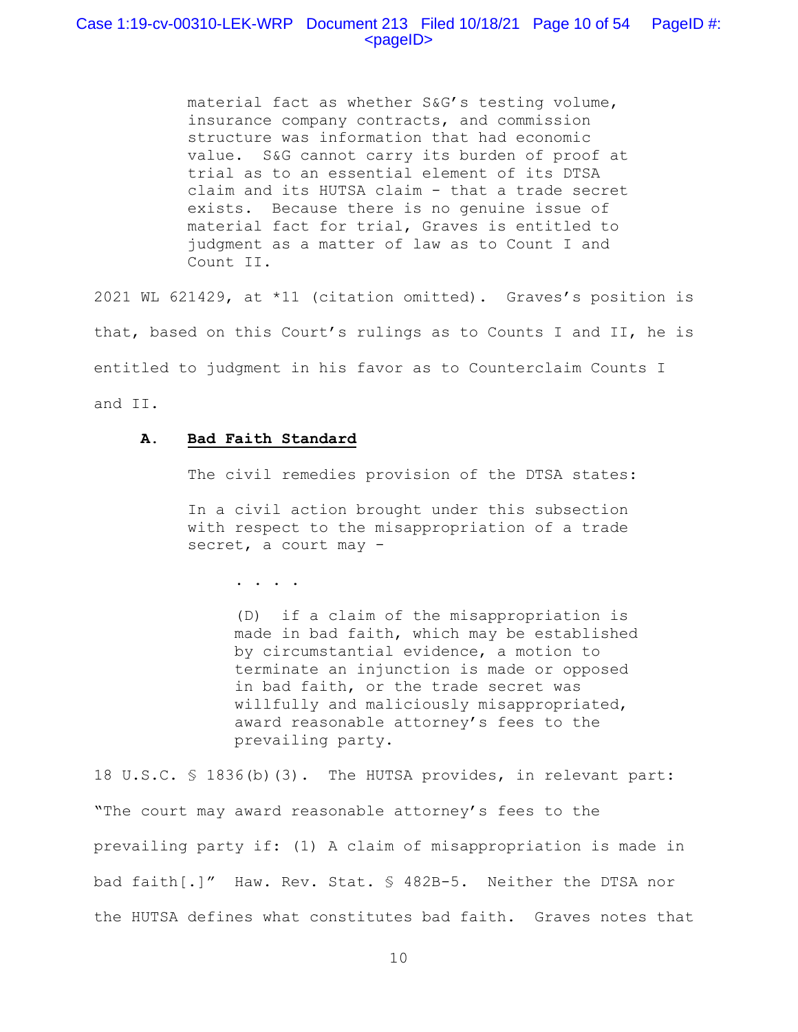# Case 1:19-cv-00310-LEK-WRP Document 213 Filed 10/18/21 Page 10 of 54 PageID #:  $<$ pageID $>$

material fact as whether S&G's testing volume, insurance company contracts, and commission structure was information that had economic value. S&G cannot carry its burden of proof at trial as to an essential element of its DTSA claim and its HUTSA claim - that a trade secret exists. Because there is no genuine issue of material fact for trial, Graves is entitled to judgment as a matter of law as to Count I and Count II.

2021 WL 621429, at \*11 (citation omitted). Graves's position is that, based on this Court's rulings as to Counts I and II, he is entitled to judgment in his favor as to Counterclaim Counts I and II.

### **A. Bad Faith Standard**

The civil remedies provision of the DTSA states:

In a civil action brought under this subsection with respect to the misappropriation of a trade secret, a court may -

. . . .

(D) if a claim of the misappropriation is made in bad faith, which may be established by circumstantial evidence, a motion to terminate an injunction is made or opposed in bad faith, or the trade secret was willfully and maliciously misappropriated, award reasonable attorney's fees to the prevailing party.

18 U.S.C. § 1836(b)(3). The HUTSA provides, in relevant part: "The court may award reasonable attorney's fees to the prevailing party if: (1) A claim of misappropriation is made in bad faith[.]" Haw. Rev. Stat. § 482B-5. Neither the DTSA nor the HUTSA defines what constitutes bad faith. Graves notes that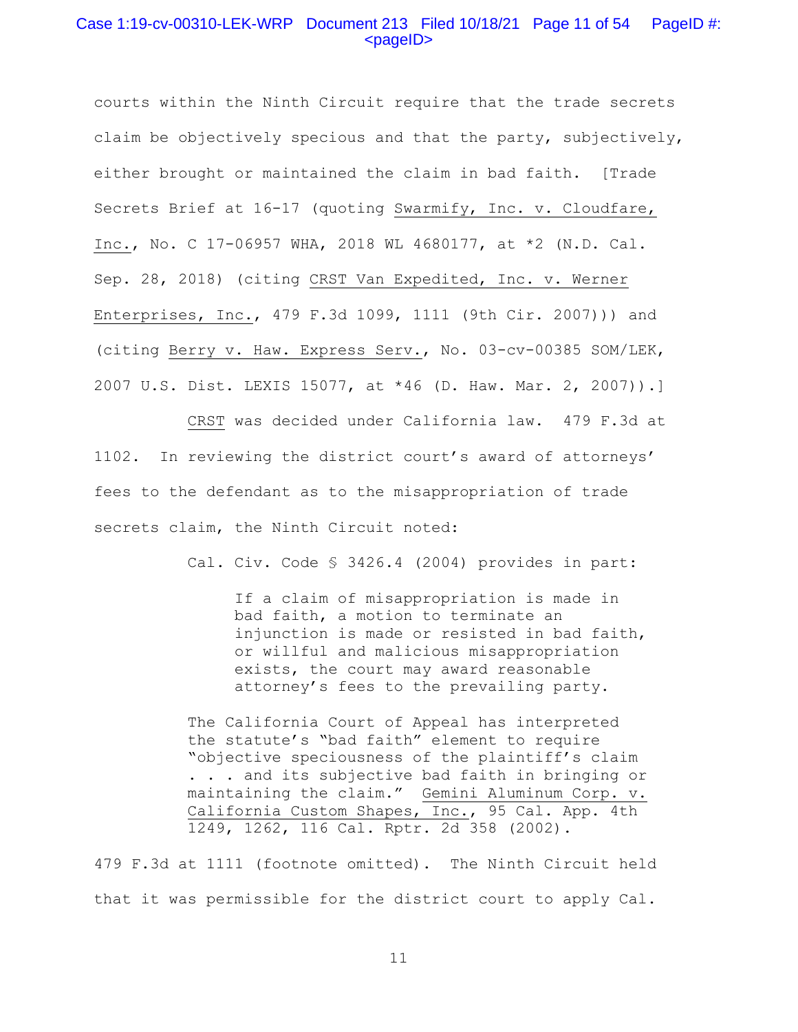# Case 1:19-cv-00310-LEK-WRP Document 213 Filed 10/18/21 Page 11 of 54 PageID #:  $<$ pageID $>$

courts within the Ninth Circuit require that the trade secrets claim be objectively specious and that the party, subjectively, either brought or maintained the claim in bad faith. [Trade Secrets Brief at 16-17 (quoting Swarmify, Inc. v. Cloudfare, Inc., No. C 17-06957 WHA, 2018 WL 4680177, at \*2 (N.D. Cal. Sep. 28, 2018) (citing CRST Van Expedited, Inc. v. Werner Enterprises, Inc., 479 F.3d 1099, 1111 (9th Cir. 2007))) and (citing Berry v. Haw. Express Serv., No. 03-cv-00385 SOM/LEK, 2007 U.S. Dist. LEXIS 15077, at \*46 (D. Haw. Mar. 2, 2007)).]

 CRST was decided under California law. 479 F.3d at 1102. In reviewing the district court's award of attorneys' fees to the defendant as to the misappropriation of trade secrets claim, the Ninth Circuit noted:

Cal. Civ. Code § 3426.4 (2004) provides in part:

If a claim of misappropriation is made in bad faith, a motion to terminate an injunction is made or resisted in bad faith, or willful and malicious misappropriation exists, the court may award reasonable attorney's fees to the prevailing party.

The California Court of Appeal has interpreted the statute's "bad faith" element to require "objective speciousness of the plaintiff's claim . . . and its subjective bad faith in bringing or maintaining the claim." Gemini Aluminum Corp. v. California Custom Shapes, Inc., 95 Cal. App. 4th 1249, 1262, 116 Cal. Rptr. 2d 358 (2002).

479 F.3d at 1111 (footnote omitted). The Ninth Circuit held that it was permissible for the district court to apply Cal.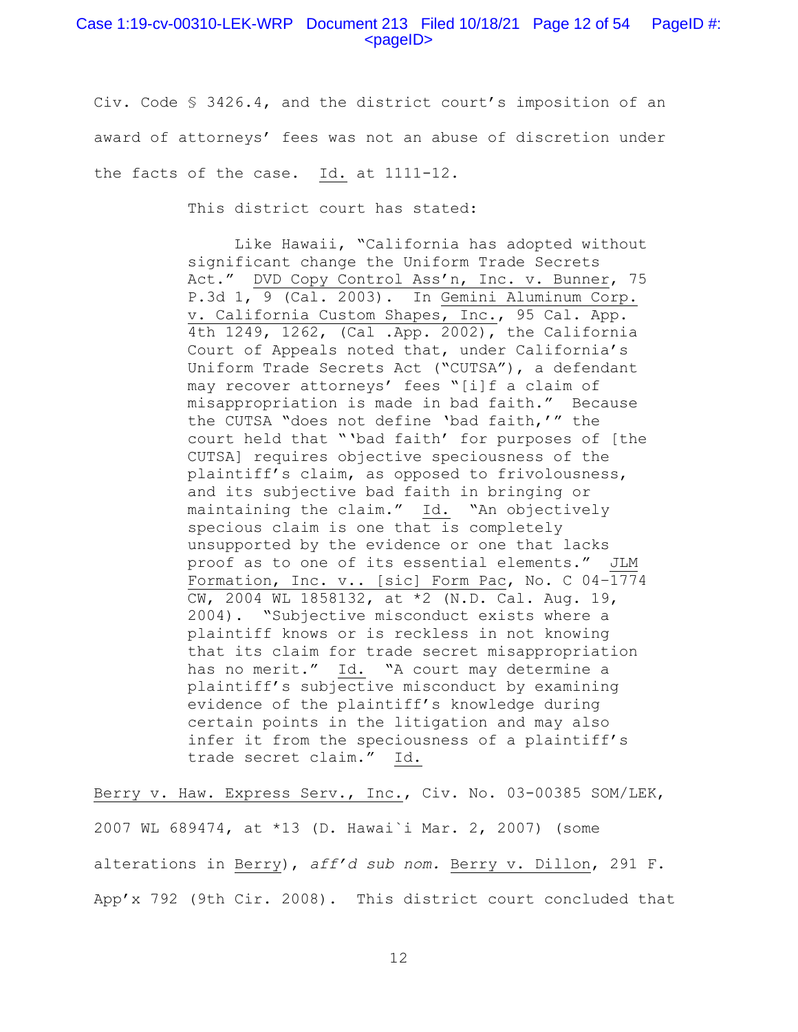# Case 1:19-cv-00310-LEK-WRP Document 213 Filed 10/18/21 Page 12 of 54 PageID #:  $<$ pageID $>$

Civ. Code § 3426.4, and the district court's imposition of an award of attorneys' fees was not an abuse of discretion under the facts of the case. Id. at 1111-12.

This district court has stated:

 Like Hawaii, "California has adopted without significant change the Uniform Trade Secrets Act." DVD Copy Control Ass'n, Inc. v. Bunner, 75 P.3d 1, 9 (Cal. 2003). In Gemini Aluminum Corp. v. California Custom Shapes, Inc., 95 Cal. App. 4th 1249, 1262, (Cal .App. 2002), the California Court of Appeals noted that, under California's Uniform Trade Secrets Act ("CUTSA"), a defendant may recover attorneys' fees "[i]f a claim of misappropriation is made in bad faith." Because the CUTSA "does not define 'bad faith,'" the court held that "'bad faith' for purposes of [the CUTSA] requires objective speciousness of the plaintiff's claim, as opposed to frivolousness, and its subjective bad faith in bringing or maintaining the claim." Id. "An objectively specious claim is one that is completely unsupported by the evidence or one that lacks proof as to one of its essential elements." JLM Formation, Inc. v.. [sic] Form Pac, No. C 04–1774 CW, 2004 WL 1858132, at \*2 (N.D. Cal. Aug. 19, 2004). "Subjective misconduct exists where a plaintiff knows or is reckless in not knowing that its claim for trade secret misappropriation has no merit." Id. "A court may determine a plaintiff's subjective misconduct by examining evidence of the plaintiff's knowledge during certain points in the litigation and may also infer it from the speciousness of a plaintiff's trade secret claim." Id.

Berry v. Haw. Express Serv., Inc., Civ. No. 03-00385 SOM/LEK, 2007 WL 689474, at \*13 (D. Hawai`i Mar. 2, 2007) (some alterations in Berry), *aff'd sub nom.* Berry v. Dillon, 291 F. App'x 792 (9th Cir. 2008). This district court concluded that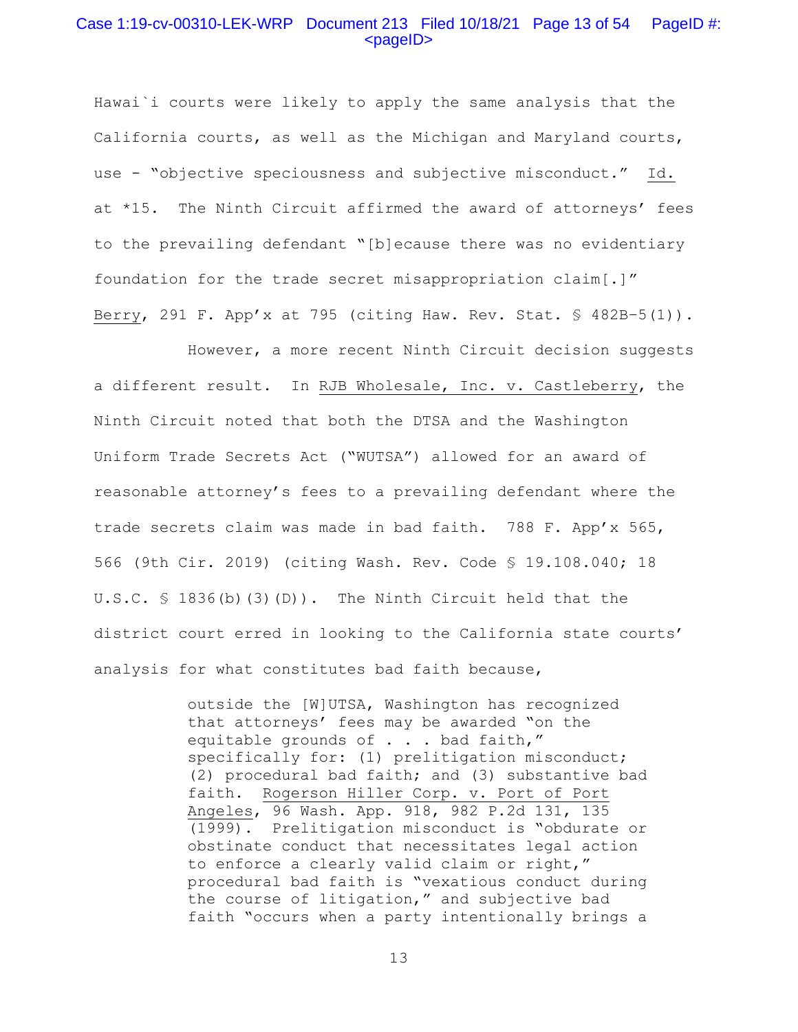# Case 1:19-cv-00310-LEK-WRP Document 213 Filed 10/18/21 Page 13 of 54 PageID #:  $<$ pageID $>$

Hawai`i courts were likely to apply the same analysis that the California courts, as well as the Michigan and Maryland courts, use - "objective speciousness and subjective misconduct." Id. at \*15. The Ninth Circuit affirmed the award of attorneys' fees to the prevailing defendant "[b]ecause there was no evidentiary foundation for the trade secret misappropriation claim[.]" Berry, 291 F. App'x at 795 (citing Haw. Rev. Stat. § 482B–5(1)).

 However, a more recent Ninth Circuit decision suggests a different result. In RJB Wholesale, Inc. v. Castleberry, the Ninth Circuit noted that both the DTSA and the Washington Uniform Trade Secrets Act ("WUTSA") allowed for an award of reasonable attorney's fees to a prevailing defendant where the trade secrets claim was made in bad faith. 788 F. App'x 565, 566 (9th Cir. 2019) (citing Wash. Rev. Code § 19.108.040; 18 U.S.C. § 1836(b)(3)(D)). The Ninth Circuit held that the district court erred in looking to the California state courts' analysis for what constitutes bad faith because,

> outside the [W]UTSA, Washington has recognized that attorneys' fees may be awarded "on the equitable grounds of . . . bad faith," specifically for: (1) prelitigation misconduct; (2) procedural bad faith; and (3) substantive bad faith. Rogerson Hiller Corp. v. Port of Port Angeles, 96 Wash. App. 918, 982 P.2d 131, 135 (1999). Prelitigation misconduct is "obdurate or obstinate conduct that necessitates legal action to enforce a clearly valid claim or right," procedural bad faith is "vexatious conduct during the course of litigation," and subjective bad faith "occurs when a party intentionally brings a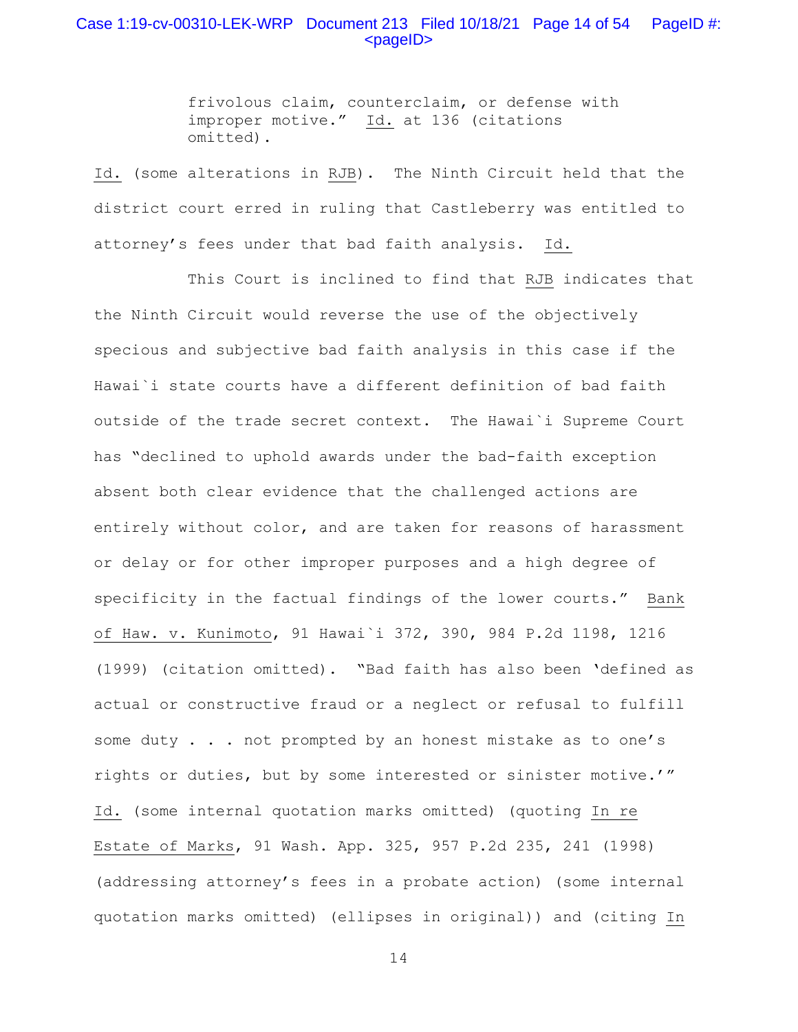# Case 1:19-cv-00310-LEK-WRP Document 213 Filed 10/18/21 Page 14 of 54 PageID #:  $<$ pageID $>$

frivolous claim, counterclaim, or defense with improper motive." Id. at 136 (citations omitted).

Id. (some alterations in RJB). The Ninth Circuit held that the district court erred in ruling that Castleberry was entitled to attorney's fees under that bad faith analysis. Id.

 This Court is inclined to find that RJB indicates that the Ninth Circuit would reverse the use of the objectively specious and subjective bad faith analysis in this case if the Hawai`i state courts have a different definition of bad faith outside of the trade secret context. The Hawai`i Supreme Court has "declined to uphold awards under the bad-faith exception absent both clear evidence that the challenged actions are entirely without color, and are taken for reasons of harassment or delay or for other improper purposes and a high degree of specificity in the factual findings of the lower courts." Bank of Haw. v. Kunimoto, 91 Hawai`i 372, 390, 984 P.2d 1198, 1216 (1999) (citation omitted). "Bad faith has also been 'defined as actual or constructive fraud or a neglect or refusal to fulfill some duty . . . not prompted by an honest mistake as to one's rights or duties, but by some interested or sinister motive.'" Id. (some internal quotation marks omitted) (quoting In re Estate of Marks, 91 Wash. App. 325, 957 P.2d 235, 241 (1998) (addressing attorney's fees in a probate action) (some internal quotation marks omitted) (ellipses in original)) and (citing In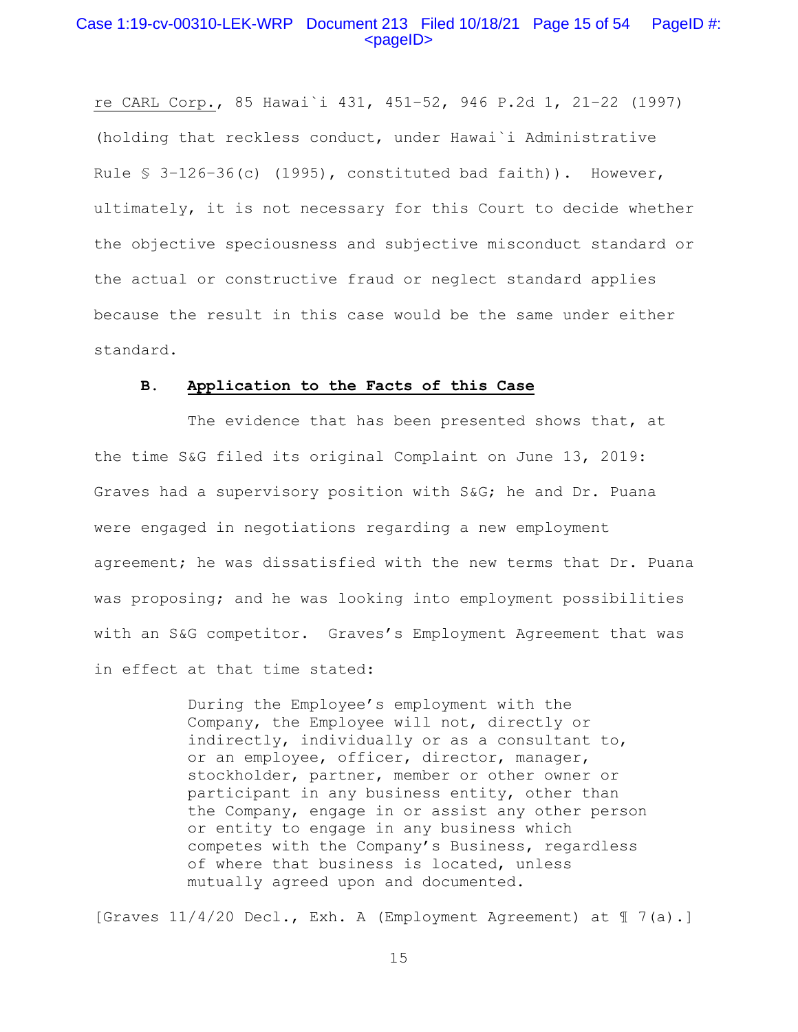# Case 1:19-cv-00310-LEK-WRP Document 213 Filed 10/18/21 Page 15 of 54 PageID #:  $<$ pageID $>$

re CARL Corp., 85 Hawai`i 431, 451–52, 946 P.2d 1, 21–22 (1997) (holding that reckless conduct, under Hawai`i Administrative Rule § 3–126–36(c) (1995), constituted bad faith)). However, ultimately, it is not necessary for this Court to decide whether the objective speciousness and subjective misconduct standard or the actual or constructive fraud or neglect standard applies because the result in this case would be the same under either standard.

### **B. Application to the Facts of this Case**

The evidence that has been presented shows that, at the time S&G filed its original Complaint on June 13, 2019: Graves had a supervisory position with S&G; he and Dr. Puana were engaged in negotiations regarding a new employment agreement; he was dissatisfied with the new terms that Dr. Puana was proposing; and he was looking into employment possibilities with an S&G competitor. Graves's Employment Agreement that was in effect at that time stated:

> During the Employee's employment with the Company, the Employee will not, directly or indirectly, individually or as a consultant to, or an employee, officer, director, manager, stockholder, partner, member or other owner or participant in any business entity, other than the Company, engage in or assist any other person or entity to engage in any business which competes with the Company's Business, regardless of where that business is located, unless mutually agreed upon and documented.

[Graves 11/4/20 Decl., Exh. A (Employment Agreement) at ¶ 7(a).]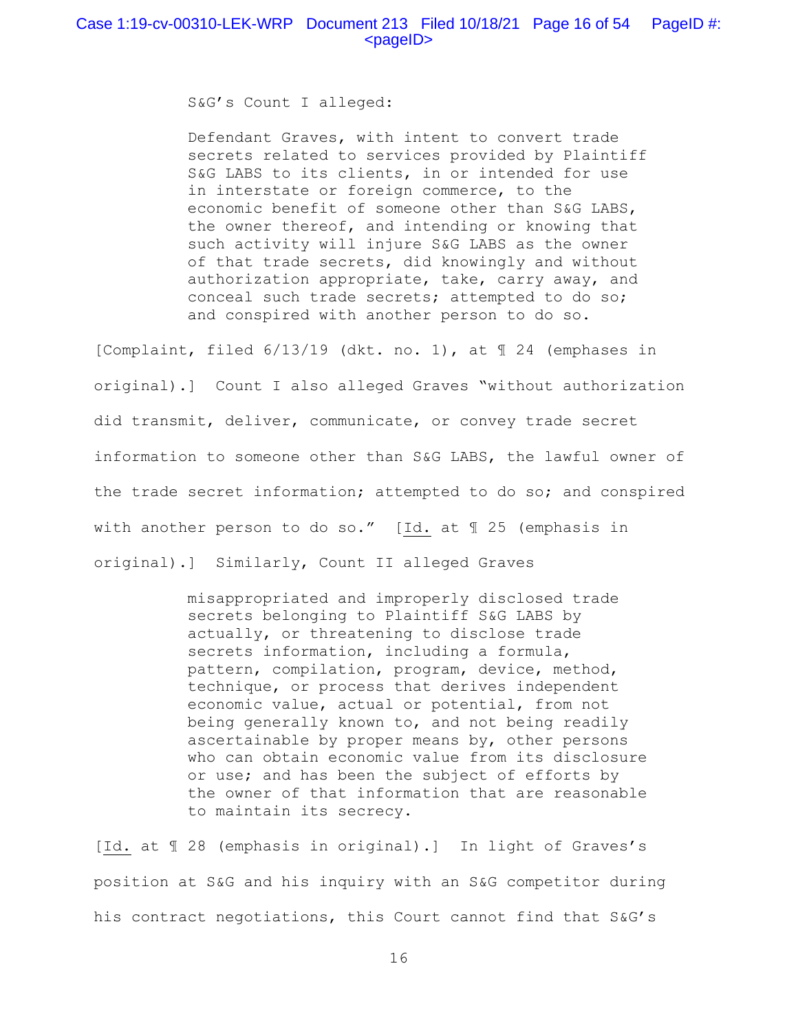S&G's Count I alleged:

Defendant Graves, with intent to convert trade secrets related to services provided by Plaintiff S&G LABS to its clients, in or intended for use in interstate or foreign commerce, to the economic benefit of someone other than S&G LABS, the owner thereof, and intending or knowing that such activity will injure S&G LABS as the owner of that trade secrets, did knowingly and without authorization appropriate, take, carry away, and conceal such trade secrets; attempted to do so; and conspired with another person to do so.

[Complaint, filed 6/13/19 (dkt. no. 1), at ¶ 24 (emphases in original).] Count I also alleged Graves "without authorization did transmit, deliver, communicate, or convey trade secret information to someone other than S&G LABS, the lawful owner of the trade secret information; attempted to do so; and conspired with another person to do so." [Id. at ¶ 25 (emphasis in original).] Similarly, Count II alleged Graves

> misappropriated and improperly disclosed trade secrets belonging to Plaintiff S&G LABS by actually, or threatening to disclose trade secrets information, including a formula, pattern, compilation, program, device, method, technique, or process that derives independent economic value, actual or potential, from not being generally known to, and not being readily ascertainable by proper means by, other persons who can obtain economic value from its disclosure or use; and has been the subject of efforts by the owner of that information that are reasonable to maintain its secrecy.

[Id. at ¶ 28 (emphasis in original).] In light of Graves's position at S&G and his inquiry with an S&G competitor during his contract negotiations, this Court cannot find that S&G's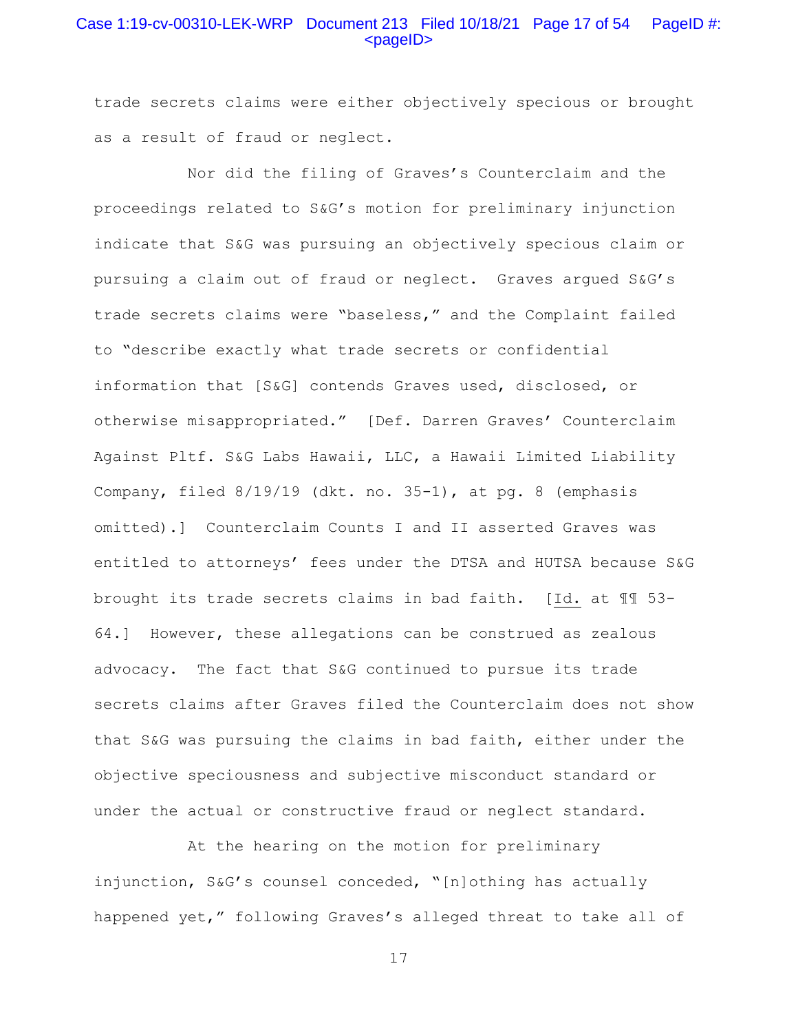# Case 1:19-cv-00310-LEK-WRP Document 213 Filed 10/18/21 Page 17 of 54 PageID #:  $<sub>pa</sub>$ gelD $>$ </sub>

trade secrets claims were either objectively specious or brought as a result of fraud or neglect.

 Nor did the filing of Graves's Counterclaim and the proceedings related to S&G's motion for preliminary injunction indicate that S&G was pursuing an objectively specious claim or pursuing a claim out of fraud or neglect. Graves argued S&G's trade secrets claims were "baseless," and the Complaint failed to "describe exactly what trade secrets or confidential information that [S&G] contends Graves used, disclosed, or otherwise misappropriated." [Def. Darren Graves' Counterclaim Against Pltf. S&G Labs Hawaii, LLC, a Hawaii Limited Liability Company, filed 8/19/19 (dkt. no. 35-1), at pg. 8 (emphasis omitted).] Counterclaim Counts I and II asserted Graves was entitled to attorneys' fees under the DTSA and HUTSA because S&G brought its trade secrets claims in bad faith. [Id. at ¶¶ 53- 64.] However, these allegations can be construed as zealous advocacy. The fact that S&G continued to pursue its trade secrets claims after Graves filed the Counterclaim does not show that S&G was pursuing the claims in bad faith, either under the objective speciousness and subjective misconduct standard or under the actual or constructive fraud or neglect standard.

 At the hearing on the motion for preliminary injunction, S&G's counsel conceded, "[n]othing has actually happened yet," following Graves's alleged threat to take all of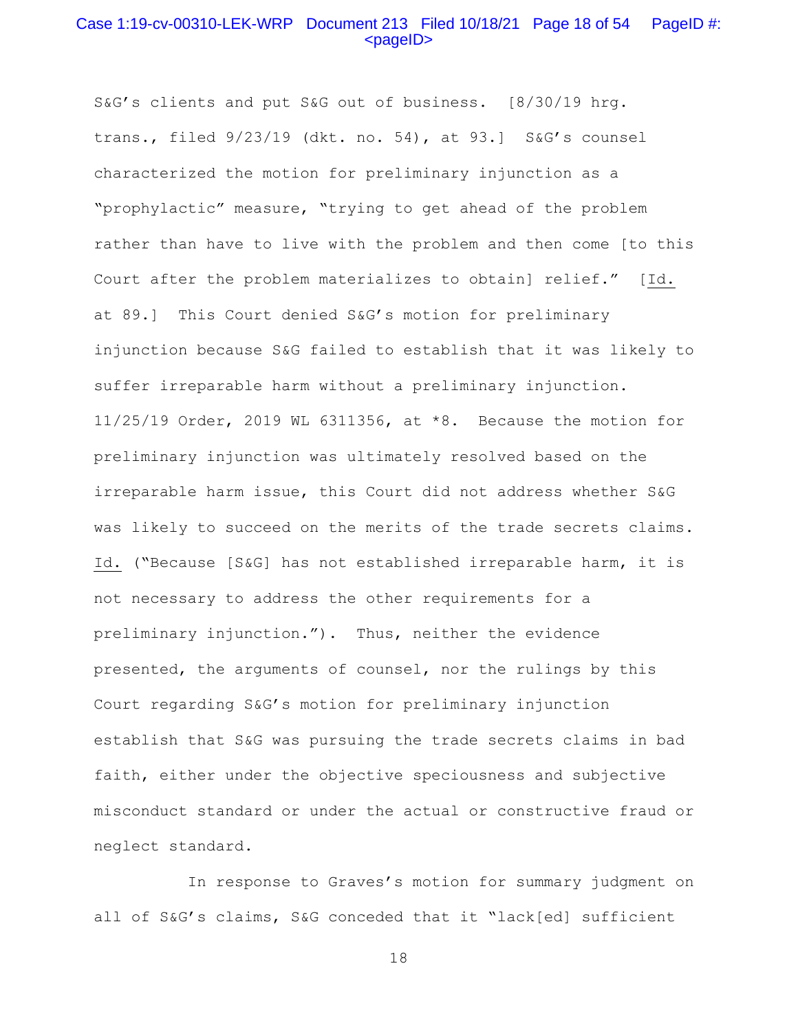# Case 1:19-cv-00310-LEK-WRP Document 213 Filed 10/18/21 Page 18 of 54 PageID #:  $<$ pageID $>$

S&G's clients and put S&G out of business. [8/30/19 hrg. trans., filed 9/23/19 (dkt. no. 54), at 93.] S&G's counsel characterized the motion for preliminary injunction as a "prophylactic" measure, "trying to get ahead of the problem rather than have to live with the problem and then come [to this Court after the problem materializes to obtain] relief." [Id. at 89.] This Court denied S&G's motion for preliminary injunction because S&G failed to establish that it was likely to suffer irreparable harm without a preliminary injunction. 11/25/19 Order, 2019 WL 6311356, at \*8. Because the motion for preliminary injunction was ultimately resolved based on the irreparable harm issue, this Court did not address whether S&G was likely to succeed on the merits of the trade secrets claims. Id. ("Because [S&G] has not established irreparable harm, it is not necessary to address the other requirements for a preliminary injunction."). Thus, neither the evidence presented, the arguments of counsel, nor the rulings by this Court regarding S&G's motion for preliminary injunction establish that S&G was pursuing the trade secrets claims in bad faith, either under the objective speciousness and subjective misconduct standard or under the actual or constructive fraud or neglect standard.

 In response to Graves's motion for summary judgment on all of S&G's claims, S&G conceded that it "lack[ed] sufficient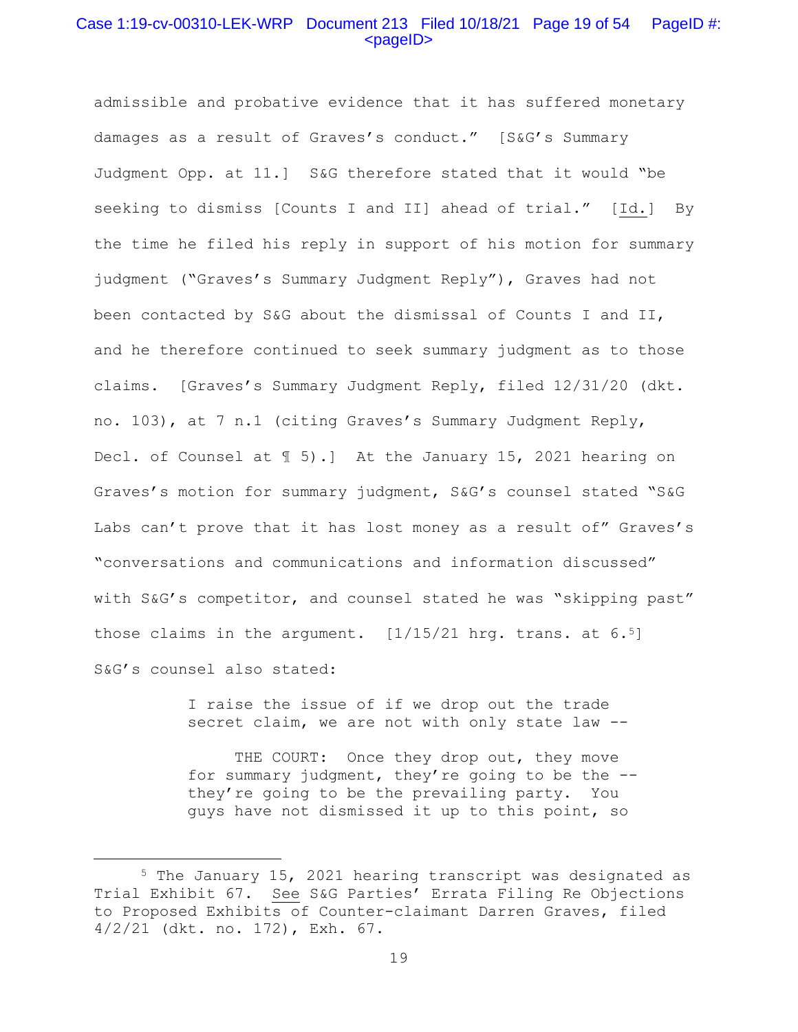# Case 1:19-cv-00310-LEK-WRP Document 213 Filed 10/18/21 Page 19 of 54 PageID #:  $<$ pageID $>$

admissible and probative evidence that it has suffered monetary damages as a result of Graves's conduct." [S&G's Summary Judgment Opp. at 11.] S&G therefore stated that it would "be seeking to dismiss [Counts I and II] ahead of trial." [Id.] By the time he filed his reply in support of his motion for summary judgment ("Graves's Summary Judgment Reply"), Graves had not been contacted by S&G about the dismissal of Counts I and II, and he therefore continued to seek summary judgment as to those claims. [Graves's Summary Judgment Reply, filed 12/31/20 (dkt. no. 103), at 7 n.1 (citing Graves's Summary Judgment Reply, Decl. of Counsel at ¶ 5).] At the January 15, 2021 hearing on Graves's motion for summary judgment, S&G's counsel stated "S&G Labs can't prove that it has lost money as a result of" Graves's "conversations and communications and information discussed" with S&G's competitor, and counsel stated he was "skipping past" those claims in the argument.  $[1/15/21$  hrg. trans. at  $6.5$ ] S&G's counsel also stated:

> I raise the issue of if we drop out the trade secret claim, we are not with only state law --

THE COURT: Once they drop out, they move for summary judgment, they're going to be the - they're going to be the prevailing party. You guys have not dismissed it up to this point, so

<sup>5</sup> The January 15, 2021 hearing transcript was designated as Trial Exhibit 67. See S&G Parties' Errata Filing Re Objections to Proposed Exhibits of Counter-claimant Darren Graves, filed 4/2/21 (dkt. no. 172), Exh. 67.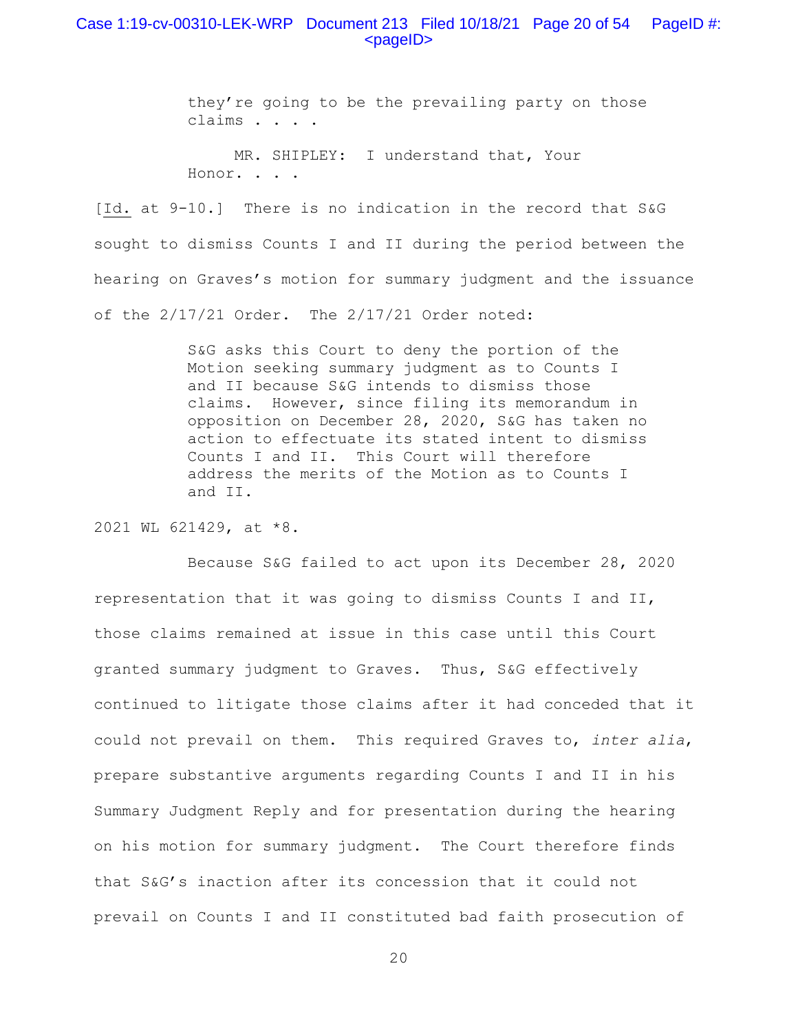# Case 1:19-cv-00310-LEK-WRP Document 213 Filed 10/18/21 Page 20 of 54 PageID #: <pageID>

they're going to be the prevailing party on those claims . . . .

 MR. SHIPLEY: I understand that, Your Honor. . . .

[Id. at 9-10.] There is no indication in the record that S&G sought to dismiss Counts I and II during the period between the hearing on Graves's motion for summary judgment and the issuance of the 2/17/21 Order. The 2/17/21 Order noted:

> S&G asks this Court to deny the portion of the Motion seeking summary judgment as to Counts I and II because S&G intends to dismiss those claims. However, since filing its memorandum in opposition on December 28, 2020, S&G has taken no action to effectuate its stated intent to dismiss Counts I and II. This Court will therefore address the merits of the Motion as to Counts I and II.

2021 WL 621429, at \*8.

 Because S&G failed to act upon its December 28, 2020 representation that it was going to dismiss Counts I and II, those claims remained at issue in this case until this Court granted summary judgment to Graves. Thus, S&G effectively continued to litigate those claims after it had conceded that it could not prevail on them. This required Graves to, *inter alia*, prepare substantive arguments regarding Counts I and II in his Summary Judgment Reply and for presentation during the hearing on his motion for summary judgment. The Court therefore finds that S&G's inaction after its concession that it could not prevail on Counts I and II constituted bad faith prosecution of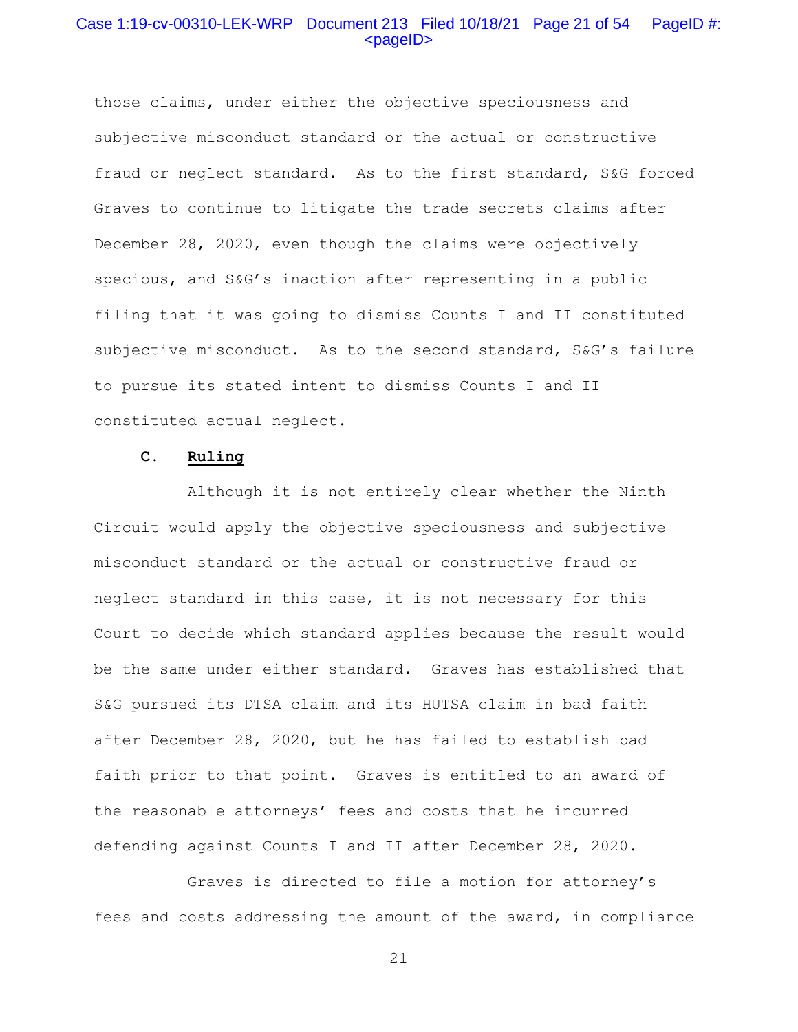# Case 1:19-cv-00310-LEK-WRP Document 213 Filed 10/18/21 Page 21 of 54 PageID #:  $<sub>pa</sub>$ gelD $>$ </sub>

those claims, under either the objective speciousness and subjective misconduct standard or the actual or constructive fraud or neglect standard. As to the first standard, S&G forced Graves to continue to litigate the trade secrets claims after December 28, 2020, even though the claims were objectively specious, and S&G's inaction after representing in a public filing that it was going to dismiss Counts I and II constituted subjective misconduct. As to the second standard, S&G's failure to pursue its stated intent to dismiss Counts I and II constituted actual neglect.

#### **C. Ruling**

 Although it is not entirely clear whether the Ninth Circuit would apply the objective speciousness and subjective misconduct standard or the actual or constructive fraud or neglect standard in this case, it is not necessary for this Court to decide which standard applies because the result would be the same under either standard. Graves has established that S&G pursued its DTSA claim and its HUTSA claim in bad faith after December 28, 2020, but he has failed to establish bad faith prior to that point. Graves is entitled to an award of the reasonable attorneys' fees and costs that he incurred defending against Counts I and II after December 28, 2020.

 Graves is directed to file a motion for attorney's fees and costs addressing the amount of the award, in compliance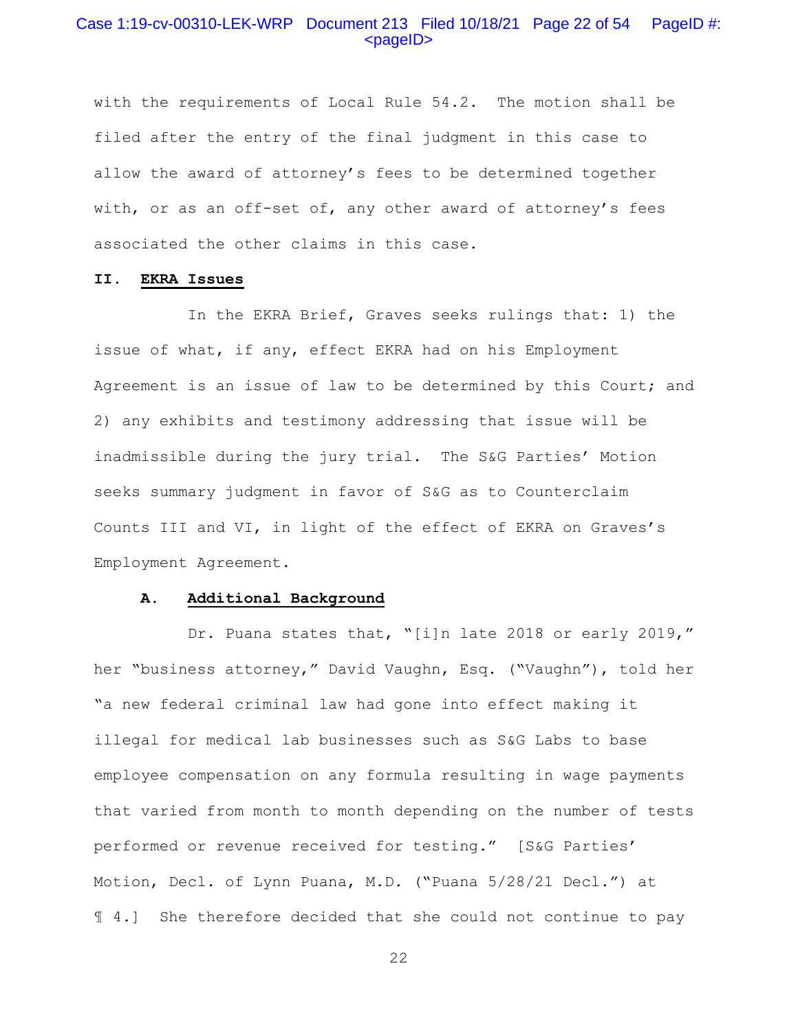# Case 1:19-cv-00310-LEK-WRP Document 213 Filed 10/18/21 Page 22 of 54 PageID #:  $<$ pageID $>$

with the requirements of Local Rule 54.2. The motion shall be filed after the entry of the final judgment in this case to allow the award of attorney's fees to be determined together with, or as an off-set of, any other award of attorney's fees associated the other claims in this case.

### **II. EKRA Issues**

 In the EKRA Brief, Graves seeks rulings that: 1) the issue of what, if any, effect EKRA had on his Employment Agreement is an issue of law to be determined by this Court; and 2) any exhibits and testimony addressing that issue will be inadmissible during the jury trial. The S&G Parties' Motion seeks summary judgment in favor of S&G as to Counterclaim Counts III and VI, in light of the effect of EKRA on Graves's Employment Agreement.

### **A. Additional Background**

Dr. Puana states that, "[i]n late 2018 or early 2019," her "business attorney," David Vaughn, Esq. ("Vaughn"), told her "a new federal criminal law had gone into effect making it illegal for medical lab businesses such as S&G Labs to base employee compensation on any formula resulting in wage payments that varied from month to month depending on the number of tests performed or revenue received for testing." [S&G Parties' Motion, Decl. of Lynn Puana, M.D. ("Puana 5/28/21 Decl.") at ¶ 4.] She therefore decided that she could not continue to pay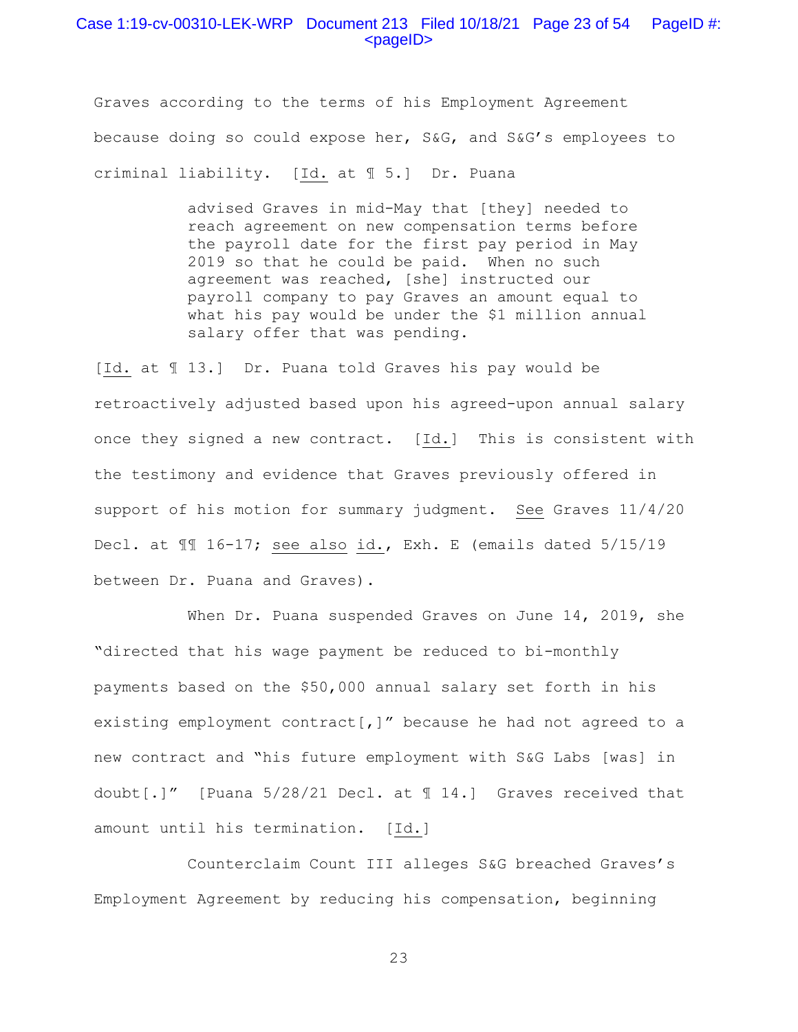## Case 1:19-cv-00310-LEK-WRP Document 213 Filed 10/18/21 Page 23 of 54 PageID #:  $<$ pageID $>$

Graves according to the terms of his Employment Agreement because doing so could expose her, S&G, and S&G's employees to criminal liability. [Id. at ¶ 5.] Dr. Puana

> advised Graves in mid-May that [they] needed to reach agreement on new compensation terms before the payroll date for the first pay period in May 2019 so that he could be paid. When no such agreement was reached, [she] instructed our payroll company to pay Graves an amount equal to what his pay would be under the \$1 million annual salary offer that was pending.

[Id. at ¶ 13.] Dr. Puana told Graves his pay would be retroactively adjusted based upon his agreed-upon annual salary once they signed a new contract. [Id.] This is consistent with the testimony and evidence that Graves previously offered in support of his motion for summary judgment. See Graves 11/4/20 Decl. at ¶¶ 16-17; see also id., Exh. E (emails dated 5/15/19 between Dr. Puana and Graves).

When Dr. Puana suspended Graves on June 14, 2019, she "directed that his wage payment be reduced to bi-monthly payments based on the \$50,000 annual salary set forth in his existing employment contract[,]" because he had not agreed to a new contract and "his future employment with S&G Labs [was] in doubt[.]" [Puana 5/28/21 Decl. at ¶ 14.] Graves received that amount until his termination. [Id.]

 Counterclaim Count III alleges S&G breached Graves's Employment Agreement by reducing his compensation, beginning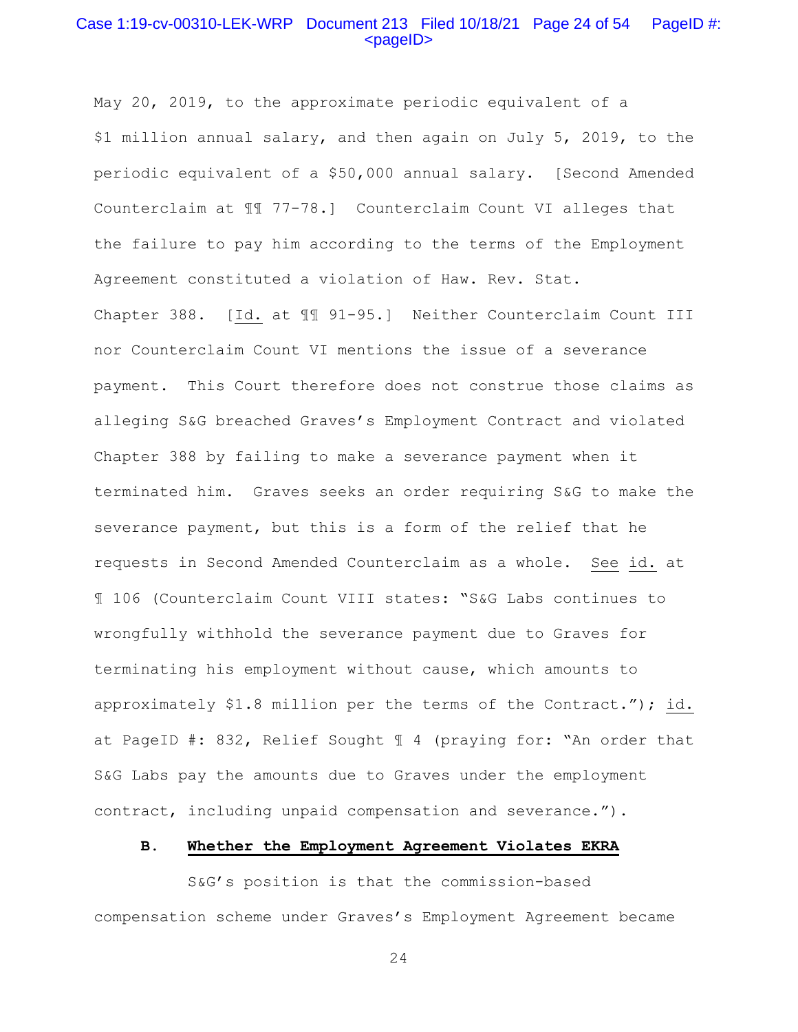# Case 1:19-cv-00310-LEK-WRP Document 213 Filed 10/18/21 Page 24 of 54 PageID #: <pageID>

May 20, 2019, to the approximate periodic equivalent of a \$1 million annual salary, and then again on July 5, 2019, to the periodic equivalent of a \$50,000 annual salary. [Second Amended Counterclaim at ¶¶ 77-78.] Counterclaim Count VI alleges that the failure to pay him according to the terms of the Employment Agreement constituted a violation of Haw. Rev. Stat.

Chapter 388. [Id. at ¶¶ 91-95.] Neither Counterclaim Count III nor Counterclaim Count VI mentions the issue of a severance payment. This Court therefore does not construe those claims as alleging S&G breached Graves's Employment Contract and violated Chapter 388 by failing to make a severance payment when it terminated him. Graves seeks an order requiring S&G to make the severance payment, but this is a form of the relief that he requests in Second Amended Counterclaim as a whole. See id. at ¶ 106 (Counterclaim Count VIII states: "S&G Labs continues to wrongfully withhold the severance payment due to Graves for terminating his employment without cause, which amounts to approximately \$1.8 million per the terms of the Contract."); id. at PageID #: 832, Relief Sought ¶ 4 (praying for: "An order that S&G Labs pay the amounts due to Graves under the employment contract, including unpaid compensation and severance.").

# **B. Whether the Employment Agreement Violates EKRA**

 S&G's position is that the commission-based compensation scheme under Graves's Employment Agreement became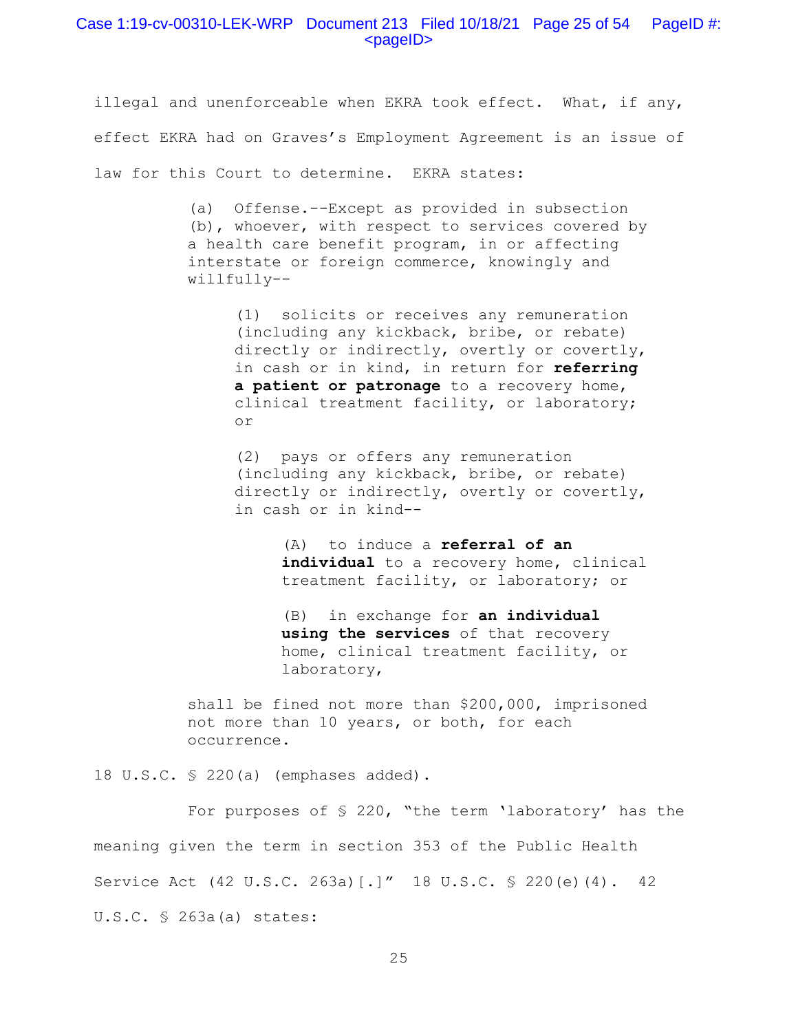illegal and unenforceable when EKRA took effect. What, if any, effect EKRA had on Graves's Employment Agreement is an issue of law for this Court to determine. EKRA states:

> (a) Offense.--Except as provided in subsection (b), whoever, with respect to services covered by a health care benefit program, in or affecting interstate or foreign commerce, knowingly and willfully--

> > (1) solicits or receives any remuneration (including any kickback, bribe, or rebate) directly or indirectly, overtly or covertly, in cash or in kind, in return for **referring a patient or patronage** to a recovery home, clinical treatment facility, or laboratory; or

> > (2) pays or offers any remuneration (including any kickback, bribe, or rebate) directly or indirectly, overtly or covertly, in cash or in kind--

> > > (A) to induce a **referral of an individual** to a recovery home, clinical treatment facility, or laboratory; or

(B) in exchange for **an individual using the services** of that recovery home, clinical treatment facility, or laboratory,

shall be fined not more than \$200,000, imprisoned not more than 10 years, or both, for each occurrence.

18 U.S.C. § 220(a) (emphases added).

 For purposes of § 220, "the term 'laboratory' has the meaning given the term in section 353 of the Public Health Service Act (42 U.S.C. 263a)[.]" 18 U.S.C. § 220(e)(4). 42 U.S.C. § 263a(a) states: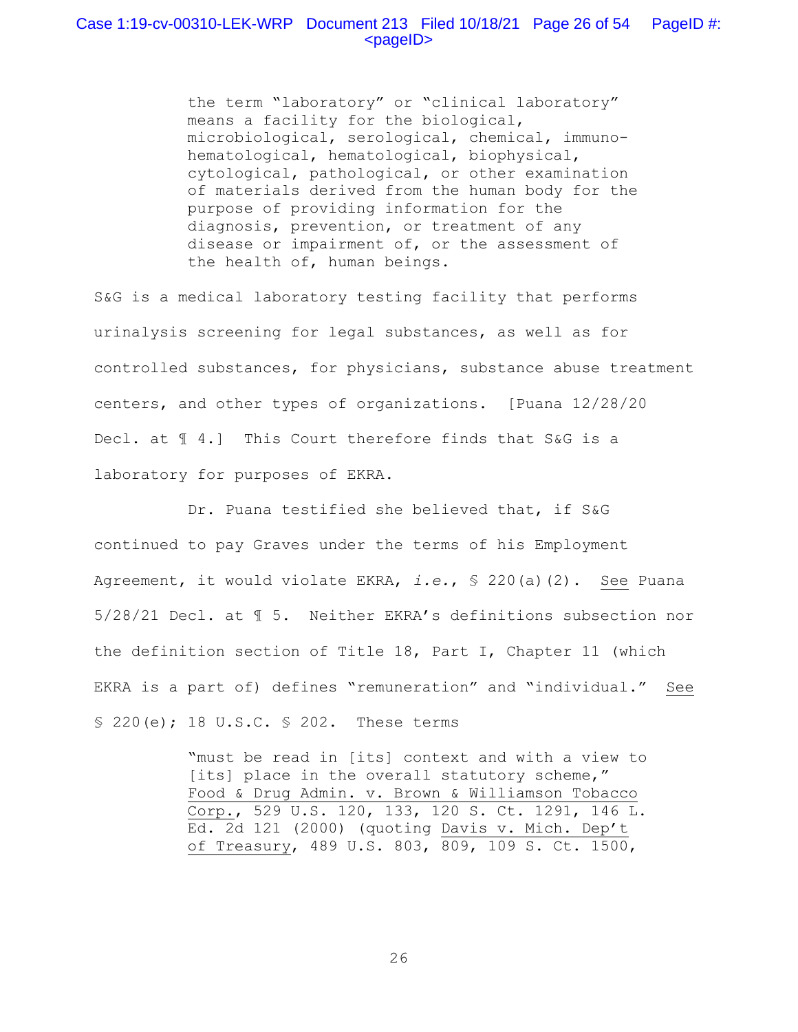# Case 1:19-cv-00310-LEK-WRP Document 213 Filed 10/18/21 Page 26 of 54 PageID #:  $<$ pageID $>$

the term "laboratory" or "clinical laboratory" means a facility for the biological, microbiological, serological, chemical, immunohematological, hematological, biophysical, cytological, pathological, or other examination of materials derived from the human body for the purpose of providing information for the diagnosis, prevention, or treatment of any disease or impairment of, or the assessment of the health of, human beings.

S&G is a medical laboratory testing facility that performs urinalysis screening for legal substances, as well as for controlled substances, for physicians, substance abuse treatment centers, and other types of organizations. [Puana 12/28/20 Decl. at  $\text{\ensuremath{\mathfrak{A}}}$  4.] This Court therefore finds that S&G is a laboratory for purposes of EKRA.

 Dr. Puana testified she believed that, if S&G continued to pay Graves under the terms of his Employment Agreement, it would violate EKRA, *i.e.*, § 220(a)(2). See Puana 5/28/21 Decl. at ¶ 5. Neither EKRA's definitions subsection nor the definition section of Title 18, Part I, Chapter 11 (which EKRA is a part of) defines "remuneration" and "individual." See § 220(e); 18 U.S.C. § 202. These terms

> "must be read in [its] context and with a view to [its] place in the overall statutory scheme," Food & Drug Admin. v. Brown & Williamson Tobacco Corp., 529 U.S. 120, 133, 120 S. Ct. 1291, 146 L. Ed. 2d 121 (2000) (quoting Davis v. Mich. Dep't of Treasury, 489 U.S. 803, 809, 109 S. Ct. 1500,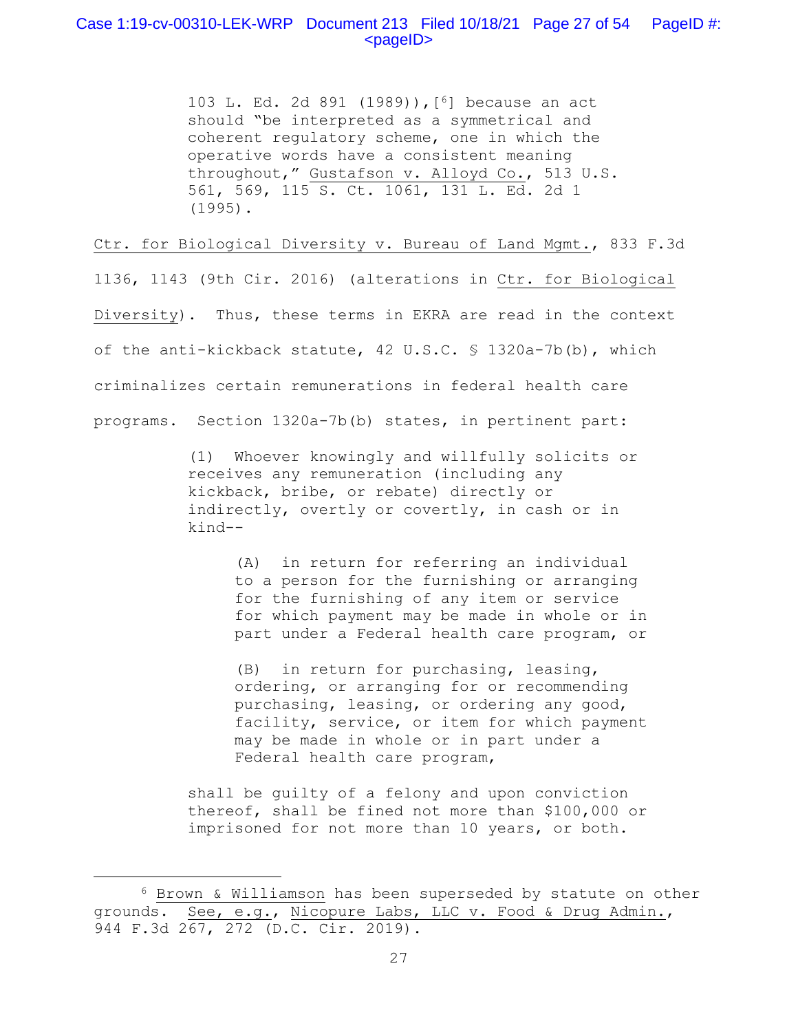# Case 1:19-cv-00310-LEK-WRP Document 213 Filed 10/18/21 Page 27 of 54 PageID #:  $<$ pageID $>$

103 L. Ed. 2d 891 (1989)),[6] because an act should "be interpreted as a symmetrical and coherent regulatory scheme, one in which the operative words have a consistent meaning throughout," Gustafson v. Alloyd Co., 513 U.S. 561, 569, 115 S. Ct. 1061, 131 L. Ed. 2d 1 (1995).

Ctr. for Biological Diversity v. Bureau of Land Mgmt., 833 F.3d

1136, 1143 (9th Cir. 2016) (alterations in Ctr. for Biological Diversity). Thus, these terms in EKRA are read in the context of the anti-kickback statute, 42 U.S.C. § 1320a-7b(b), which criminalizes certain remunerations in federal health care programs. Section 1320a-7b(b) states, in pertinent part:

> (1) Whoever knowingly and willfully solicits or receives any remuneration (including any kickback, bribe, or rebate) directly or indirectly, overtly or covertly, in cash or in kind--

> > (A) in return for referring an individual to a person for the furnishing or arranging for the furnishing of any item or service for which payment may be made in whole or in part under a Federal health care program, or

> > (B) in return for purchasing, leasing, ordering, or arranging for or recommending purchasing, leasing, or ordering any good, facility, service, or item for which payment may be made in whole or in part under a Federal health care program,

shall be guilty of a felony and upon conviction thereof, shall be fined not more than \$100,000 or imprisoned for not more than 10 years, or both.

<sup>6</sup> Brown & Williamson has been superseded by statute on other grounds. See, e.g., Nicopure Labs, LLC v. Food & Drug Admin., 944 F.3d 267, 272 (D.C. Cir. 2019).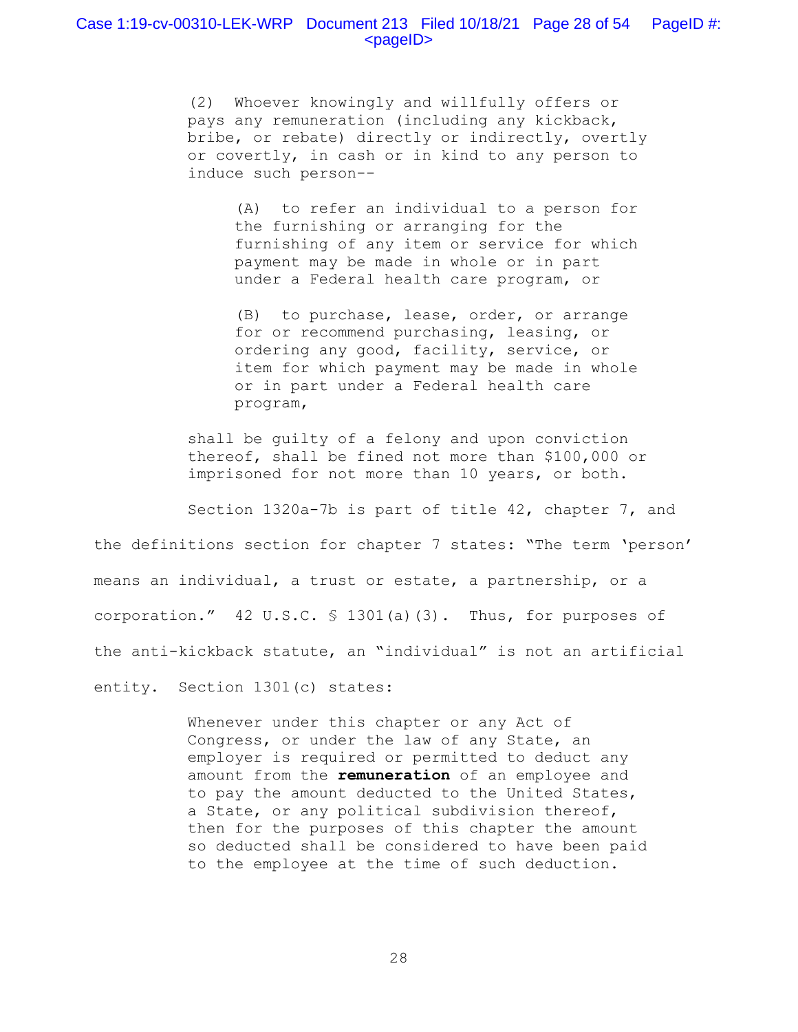# Case 1:19-cv-00310-LEK-WRP Document 213 Filed 10/18/21 Page 28 of 54 PageID #:  $<$ pageID $>$

(2) Whoever knowingly and willfully offers or pays any remuneration (including any kickback, bribe, or rebate) directly or indirectly, overtly or covertly, in cash or in kind to any person to induce such person--

> (A) to refer an individual to a person for the furnishing or arranging for the furnishing of any item or service for which payment may be made in whole or in part under a Federal health care program, or

> (B) to purchase, lease, order, or arrange for or recommend purchasing, leasing, or ordering any good, facility, service, or item for which payment may be made in whole or in part under a Federal health care program,

shall be guilty of a felony and upon conviction thereof, shall be fined not more than \$100,000 or imprisoned for not more than 10 years, or both.

 Section 1320a-7b is part of title 42, chapter 7, and the definitions section for chapter 7 states: "The term 'person' means an individual, a trust or estate, a partnership, or a corporation." 42 U.S.C. § 1301(a)(3). Thus, for purposes of the anti-kickback statute, an "individual" is not an artificial entity. Section 1301(c) states:

> Whenever under this chapter or any Act of Congress, or under the law of any State, an employer is required or permitted to deduct any amount from the **remuneration** of an employee and to pay the amount deducted to the United States, a State, or any political subdivision thereof, then for the purposes of this chapter the amount so deducted shall be considered to have been paid to the employee at the time of such deduction.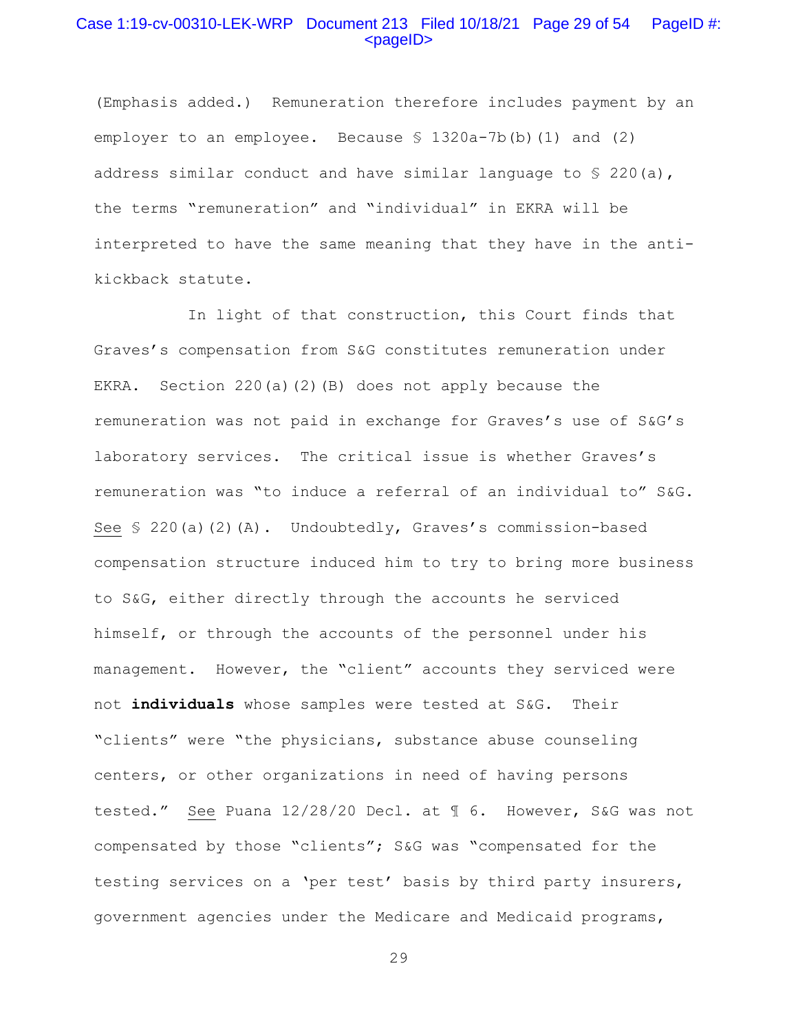# Case 1:19-cv-00310-LEK-WRP Document 213 Filed 10/18/21 Page 29 of 54 PageID #: <pageID>

(Emphasis added.) Remuneration therefore includes payment by an employer to an employee. Because § 1320a-7b(b)(1) and (2) address similar conduct and have similar language to  $\S$  220(a), the terms "remuneration" and "individual" in EKRA will be interpreted to have the same meaning that they have in the antikickback statute.

 In light of that construction, this Court finds that Graves's compensation from S&G constitutes remuneration under EKRA. Section 220(a)(2)(B) does not apply because the remuneration was not paid in exchange for Graves's use of S&G's laboratory services. The critical issue is whether Graves's remuneration was "to induce a referral of an individual to" S&G. See § 220(a)(2)(A). Undoubtedly, Graves's commission-based compensation structure induced him to try to bring more business to S&G, either directly through the accounts he serviced himself, or through the accounts of the personnel under his management. However, the "client" accounts they serviced were not **individuals** whose samples were tested at S&G. Their "clients" were "the physicians, substance abuse counseling centers, or other organizations in need of having persons tested." See Puana 12/28/20 Decl. at ¶ 6. However, S&G was not compensated by those "clients"; S&G was "compensated for the testing services on a 'per test' basis by third party insurers, government agencies under the Medicare and Medicaid programs,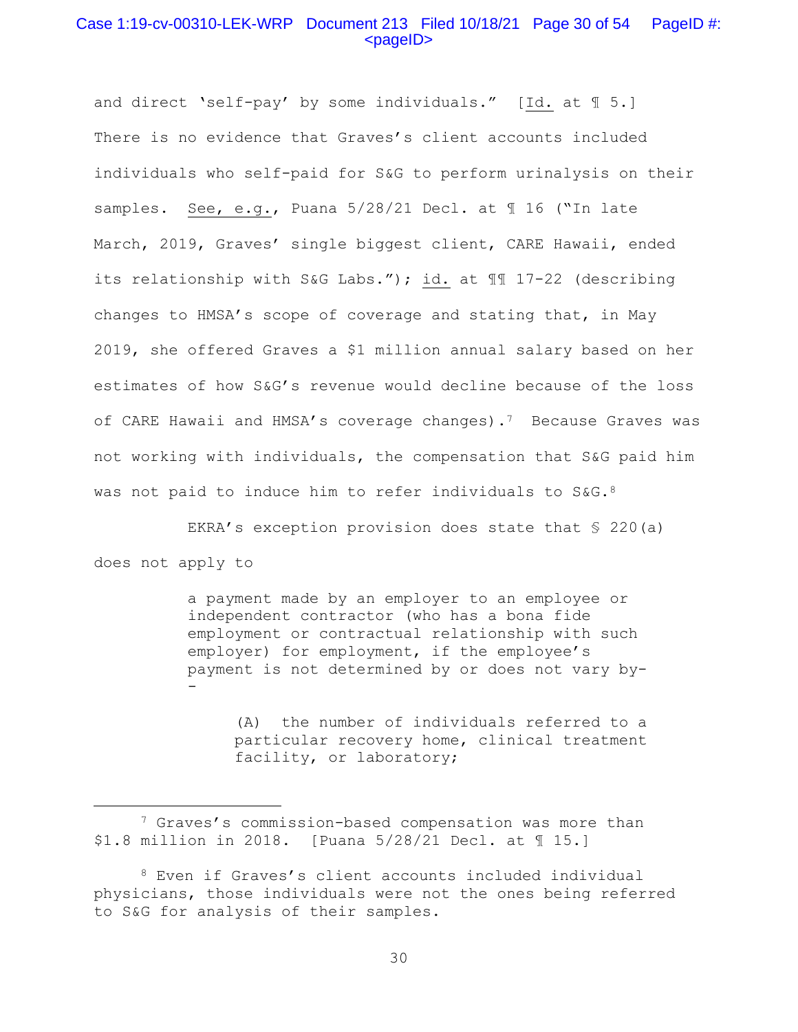# Case 1:19-cv-00310-LEK-WRP Document 213 Filed 10/18/21 Page 30 of 54 PageID #:  $<$ pageID $>$

and direct 'self-pay' by some individuals." [Id. at 1 5.] There is no evidence that Graves's client accounts included individuals who self-paid for S&G to perform urinalysis on their samples. See, e.g., Puana 5/28/21 Decl. at ¶ 16 ("In late March, 2019, Graves' single biggest client, CARE Hawaii, ended its relationship with S&G Labs."); id. at ¶¶ 17-22 (describing changes to HMSA's scope of coverage and stating that, in May 2019, she offered Graves a \$1 million annual salary based on her estimates of how S&G's revenue would decline because of the loss of CARE Hawaii and HMSA's coverage changes).7 Because Graves was not working with individuals, the compensation that S&G paid him was not paid to induce him to refer individuals to S&G.<sup>8</sup>

 EKRA's exception provision does state that § 220(a) does not apply to

> a payment made by an employer to an employee or independent contractor (who has a bona fide employment or contractual relationship with such employer) for employment, if the employee's payment is not determined by or does not vary by- -

> > (A) the number of individuals referred to a particular recovery home, clinical treatment facility, or laboratory;

<sup>7</sup> Graves's commission-based compensation was more than \$1.8 million in 2018. [Puana 5/28/21 Decl. at ¶ 15.]

<sup>8</sup> Even if Graves's client accounts included individual physicians, those individuals were not the ones being referred to S&G for analysis of their samples.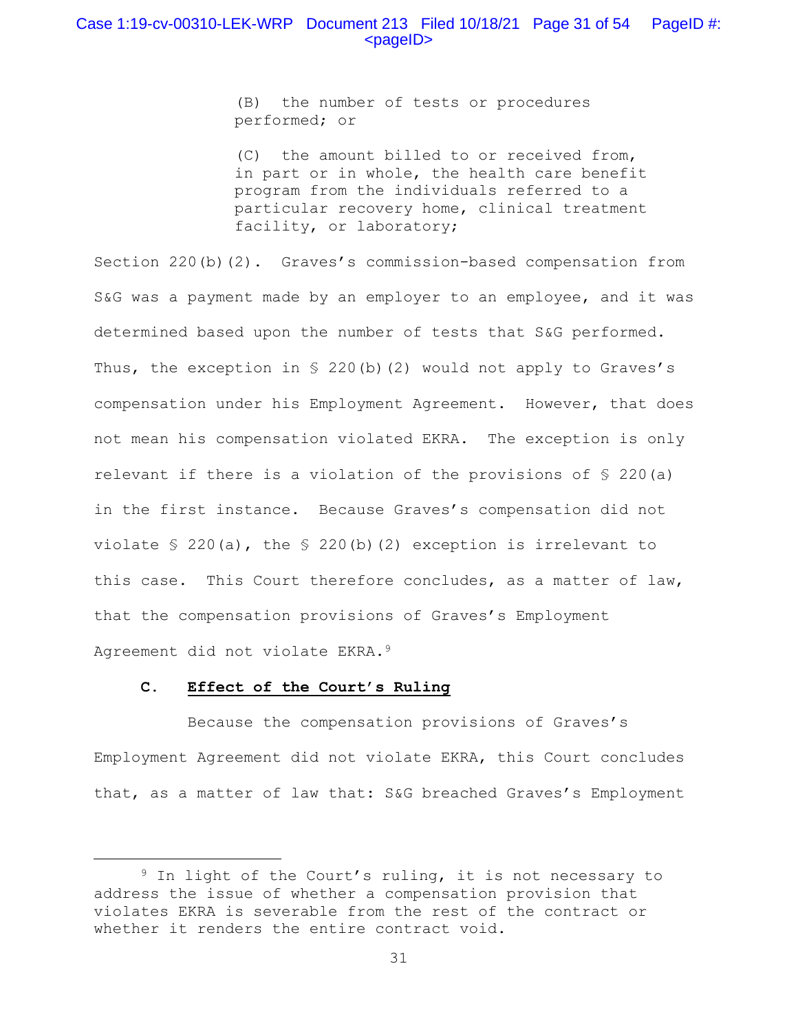(B) the number of tests or procedures performed; or

(C) the amount billed to or received from, in part or in whole, the health care benefit program from the individuals referred to a particular recovery home, clinical treatment facility, or laboratory;

Section 220(b)(2). Graves's commission-based compensation from S&G was a payment made by an employer to an employee, and it was determined based upon the number of tests that S&G performed. Thus, the exception in  $\S$  220(b)(2) would not apply to Graves's compensation under his Employment Agreement. However, that does not mean his compensation violated EKRA. The exception is only relevant if there is a violation of the provisions of § 220(a) in the first instance. Because Graves's compensation did not violate § 220(a), the § 220(b)(2) exception is irrelevant to this case. This Court therefore concludes, as a matter of law, that the compensation provisions of Graves's Employment Agreement did not violate EKRA.9

# **C. Effect of the Court's Ruling**

 Because the compensation provisions of Graves's Employment Agreement did not violate EKRA, this Court concludes that, as a matter of law that: S&G breached Graves's Employment

<sup>9</sup> In light of the Court's ruling, it is not necessary to address the issue of whether a compensation provision that violates EKRA is severable from the rest of the contract or whether it renders the entire contract void.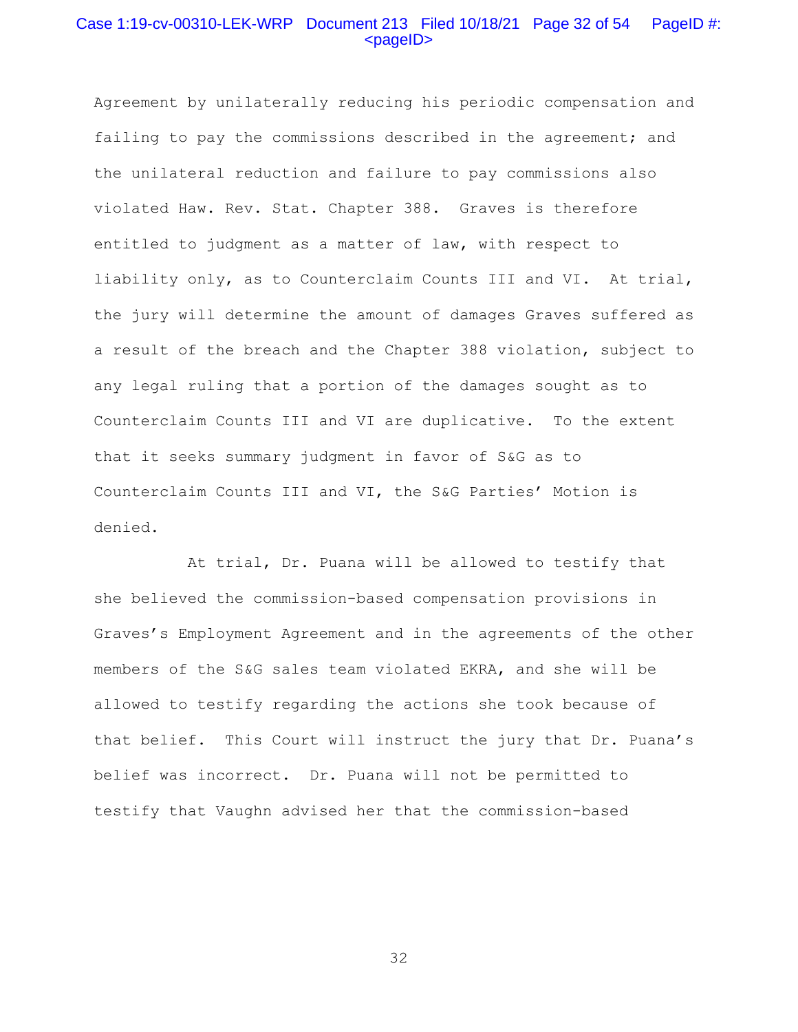# Case 1:19-cv-00310-LEK-WRP Document 213 Filed 10/18/21 Page 32 of 54 PageID #: <pageID>

Agreement by unilaterally reducing his periodic compensation and failing to pay the commissions described in the agreement; and the unilateral reduction and failure to pay commissions also violated Haw. Rev. Stat. Chapter 388. Graves is therefore entitled to judgment as a matter of law, with respect to liability only, as to Counterclaim Counts III and VI. At trial, the jury will determine the amount of damages Graves suffered as a result of the breach and the Chapter 388 violation, subject to any legal ruling that a portion of the damages sought as to Counterclaim Counts III and VI are duplicative. To the extent that it seeks summary judgment in favor of S&G as to Counterclaim Counts III and VI, the S&G Parties' Motion is denied.

 At trial, Dr. Puana will be allowed to testify that she believed the commission-based compensation provisions in Graves's Employment Agreement and in the agreements of the other members of the S&G sales team violated EKRA, and she will be allowed to testify regarding the actions she took because of that belief. This Court will instruct the jury that Dr. Puana's belief was incorrect. Dr. Puana will not be permitted to testify that Vaughn advised her that the commission-based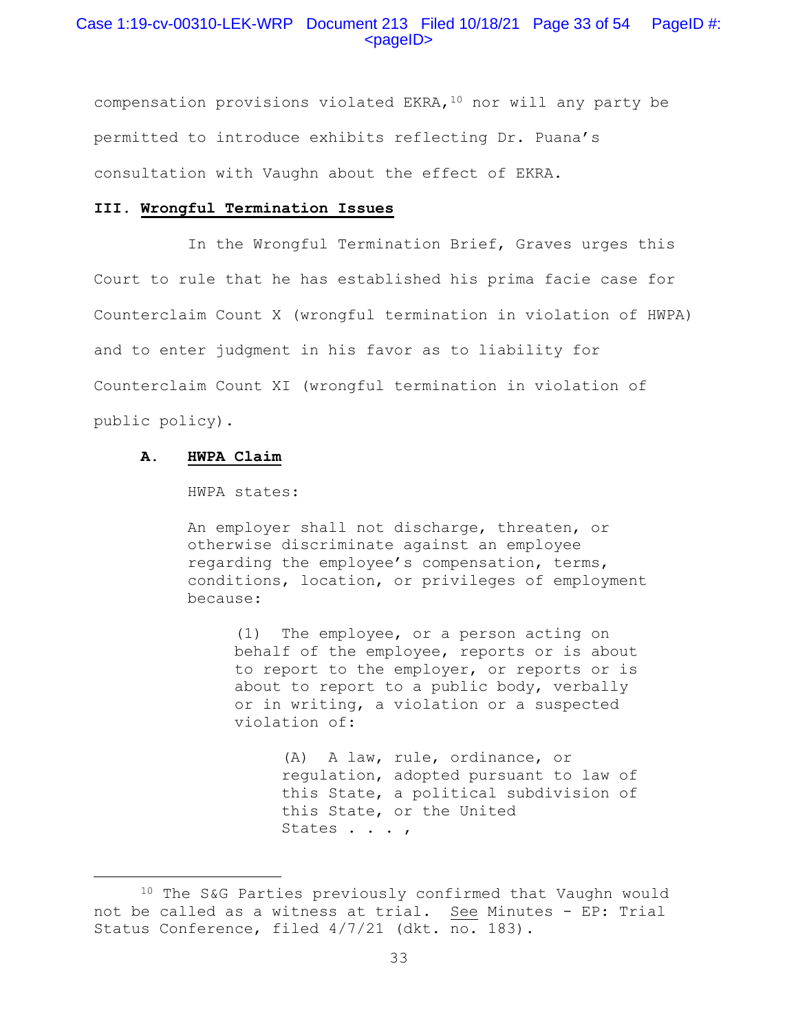# Case 1:19-cv-00310-LEK-WRP Document 213 Filed 10/18/21 Page 33 of 54 PageID #:  $<$ pageID $>$

compensation provisions violated EKRA,  $10$  nor will any party be permitted to introduce exhibits reflecting Dr. Puana's consultation with Vaughn about the effect of EKRA.

# **III. Wrongful Termination Issues**

 In the Wrongful Termination Brief, Graves urges this Court to rule that he has established his prima facie case for Counterclaim Count X (wrongful termination in violation of HWPA) and to enter judgment in his favor as to liability for Counterclaim Count XI (wrongful termination in violation of public policy).

### **A. HWPA Claim**

#### HWPA states:

An employer shall not discharge, threaten, or otherwise discriminate against an employee regarding the employee's compensation, terms, conditions, location, or privileges of employment because:

> (1) The employee, or a person acting on behalf of the employee, reports or is about to report to the employer, or reports or is about to report to a public body, verbally or in writing, a violation or a suspected violation of:

> > (A) A law, rule, ordinance, or regulation, adopted pursuant to law of this State, a political subdivision of this State, or the United States . . . ,

<sup>10</sup> The S&G Parties previously confirmed that Vaughn would not be called as a witness at trial. See Minutes - EP: Trial Status Conference, filed 4/7/21 (dkt. no. 183).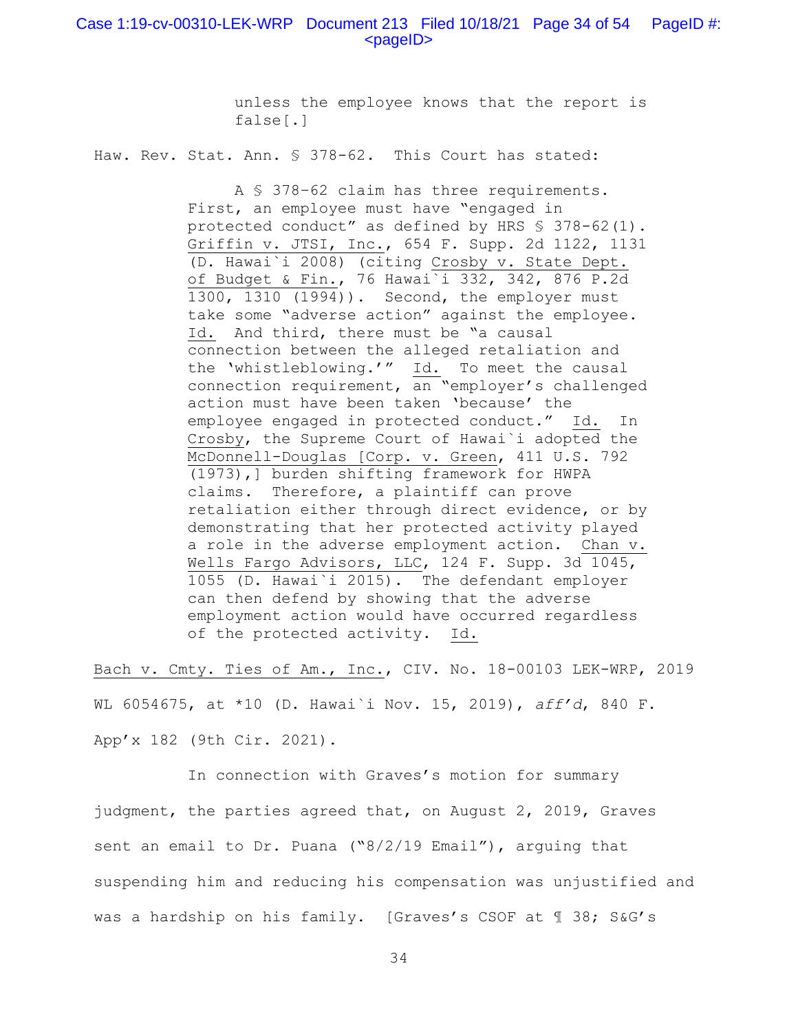# Case 1:19-cv-00310-LEK-WRP Document 213 Filed 10/18/21 Page 34 of 54 PageID #:  $<$ pageID $>$

unless the employee knows that the report is false[.]

Haw. Rev. Stat. Ann. § 378-62. This Court has stated:

 A § 378–62 claim has three requirements. First, an employee must have "engaged in protected conduct" as defined by HRS § 378-62(1). Griffin v. JTSI, Inc., 654 F. Supp. 2d 1122, 1131 (D. Hawai`i 2008) (citing Crosby v. State Dept. of Budget & Fin., 76 Hawai`i 332, 342, 876 P.2d 1300, 1310 (1994)). Second, the employer must take some "adverse action" against the employee. Id. And third, there must be "a causal connection between the alleged retaliation and the 'whistleblowing.'" Id. To meet the causal connection requirement, an "employer's challenged action must have been taken 'because' the employee engaged in protected conduct." Id. In Crosby, the Supreme Court of Hawai`i adopted the McDonnell-Douglas [Corp. v. Green, 411 U.S. 792 (1973),] burden shifting framework for HWPA claims. Therefore, a plaintiff can prove retaliation either through direct evidence, or by demonstrating that her protected activity played a role in the adverse employment action. Chan v. Wells Fargo Advisors, LLC, 124 F. Supp. 3d 1045, 1055 (D. Hawai`i 2015). The defendant employer can then defend by showing that the adverse employment action would have occurred regardless of the protected activity. Id.

Bach v. Cmty. Ties of Am., Inc., CIV. No. 18-00103 LEK-WRP, 2019 WL 6054675, at \*10 (D. Hawai`i Nov. 15, 2019), *aff'd*, 840 F. App'x 182 (9th Cir. 2021).

 In connection with Graves's motion for summary judgment, the parties agreed that, on August 2, 2019, Graves sent an email to Dr. Puana ("8/2/19 Email"), arguing that suspending him and reducing his compensation was unjustified and was a hardship on his family. [Graves's CSOF at ¶ 38; S&G's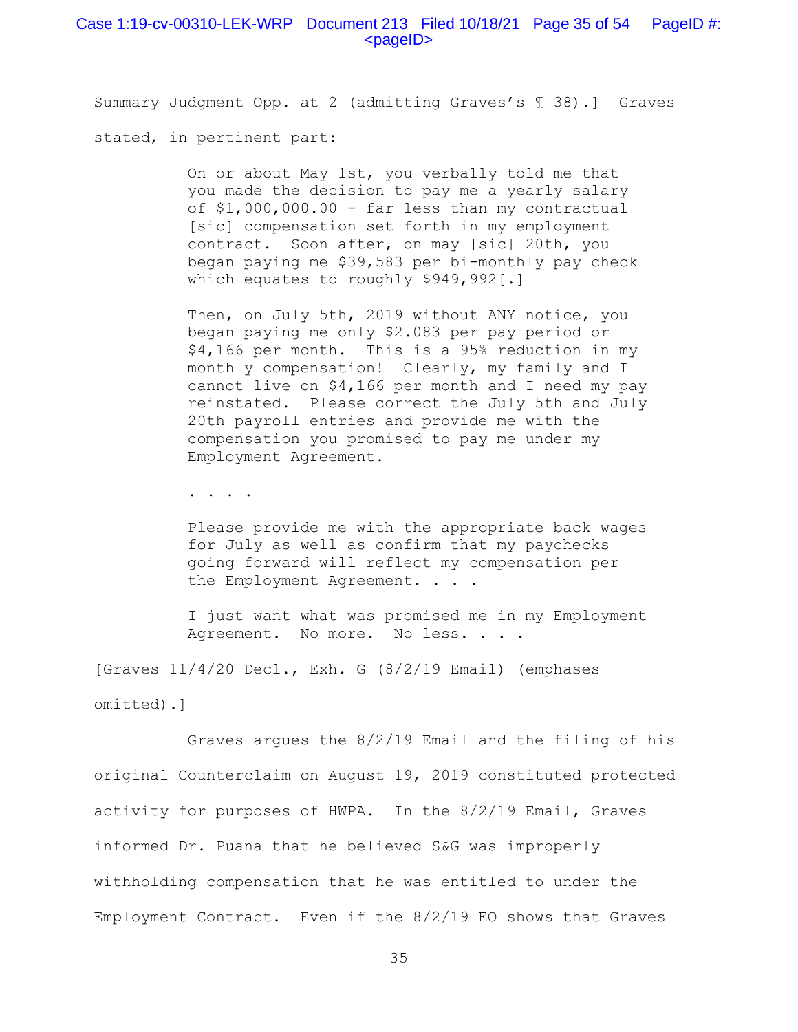# Case 1:19-cv-00310-LEK-WRP Document 213 Filed 10/18/21 Page 35 of 54 PageID #:  $<$ pageID $>$

Summary Judgment Opp. at 2 (admitting Graves's ¶ 38).] Graves

stated, in pertinent part:

On or about May 1st, you verbally told me that you made the decision to pay me a yearly salary of \$1,000,000.00 - far less than my contractual [sic] compensation set forth in my employment contract. Soon after, on may [sic] 20th, you began paying me \$39,583 per bi-monthly pay check which equates to roughly \$949,992[.]

Then, on July 5th, 2019 without ANY notice, you began paying me only \$2.083 per pay period or \$4,166 per month. This is a 95% reduction in my monthly compensation! Clearly, my family and I cannot live on \$4,166 per month and I need my pay reinstated. Please correct the July 5th and July 20th payroll entries and provide me with the compensation you promised to pay me under my Employment Agreement.

. . . .

Please provide me with the appropriate back wages for July as well as confirm that my paychecks going forward will reflect my compensation per the Employment Agreement. . . .

I just want what was promised me in my Employment Agreement. No more. No less. . . .

[Graves 11/4/20 Decl., Exh. G (8/2/19 Email) (emphases omitted).]

 Graves argues the 8/2/19 Email and the filing of his original Counterclaim on August 19, 2019 constituted protected activity for purposes of HWPA. In the 8/2/19 Email, Graves informed Dr. Puana that he believed S&G was improperly withholding compensation that he was entitled to under the Employment Contract. Even if the 8/2/19 EO shows that Graves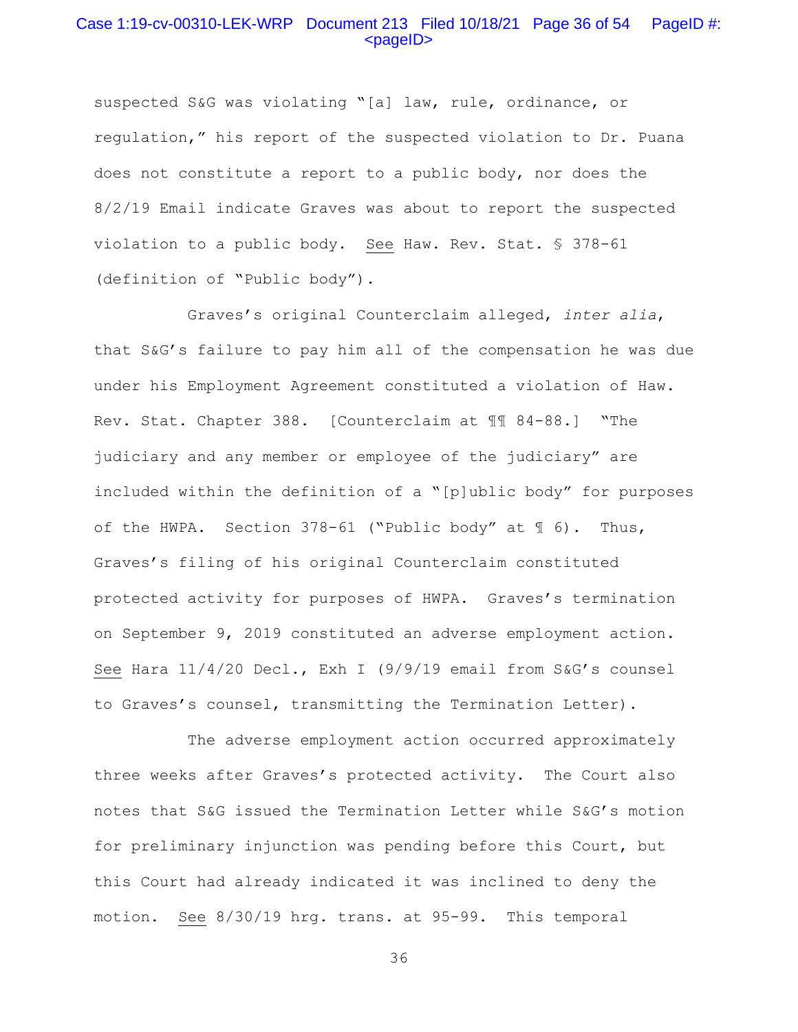# Case 1:19-cv-00310-LEK-WRP Document 213 Filed 10/18/21 Page 36 of 54 PageID #: <pageID>

suspected S&G was violating "[a] law, rule, ordinance, or regulation," his report of the suspected violation to Dr. Puana does not constitute a report to a public body, nor does the 8/2/19 Email indicate Graves was about to report the suspected violation to a public body. See Haw. Rev. Stat. § 378-61 (definition of "Public body").

 Graves's original Counterclaim alleged, *inter alia*, that S&G's failure to pay him all of the compensation he was due under his Employment Agreement constituted a violation of Haw. Rev. Stat. Chapter 388. [Counterclaim at ¶¶ 84-88.] "The judiciary and any member or employee of the judiciary" are included within the definition of a "[p]ublic body" for purposes of the HWPA. Section  $378-61$  ("Public body" at  $\text{\textsterling} 6$ ). Thus, Graves's filing of his original Counterclaim constituted protected activity for purposes of HWPA. Graves's termination on September 9, 2019 constituted an adverse employment action. See Hara 11/4/20 Decl., Exh I (9/9/19 email from S&G's counsel to Graves's counsel, transmitting the Termination Letter).

 The adverse employment action occurred approximately three weeks after Graves's protected activity. The Court also notes that S&G issued the Termination Letter while S&G's motion for preliminary injunction was pending before this Court, but this Court had already indicated it was inclined to deny the motion. See 8/30/19 hrg. trans. at 95-99. This temporal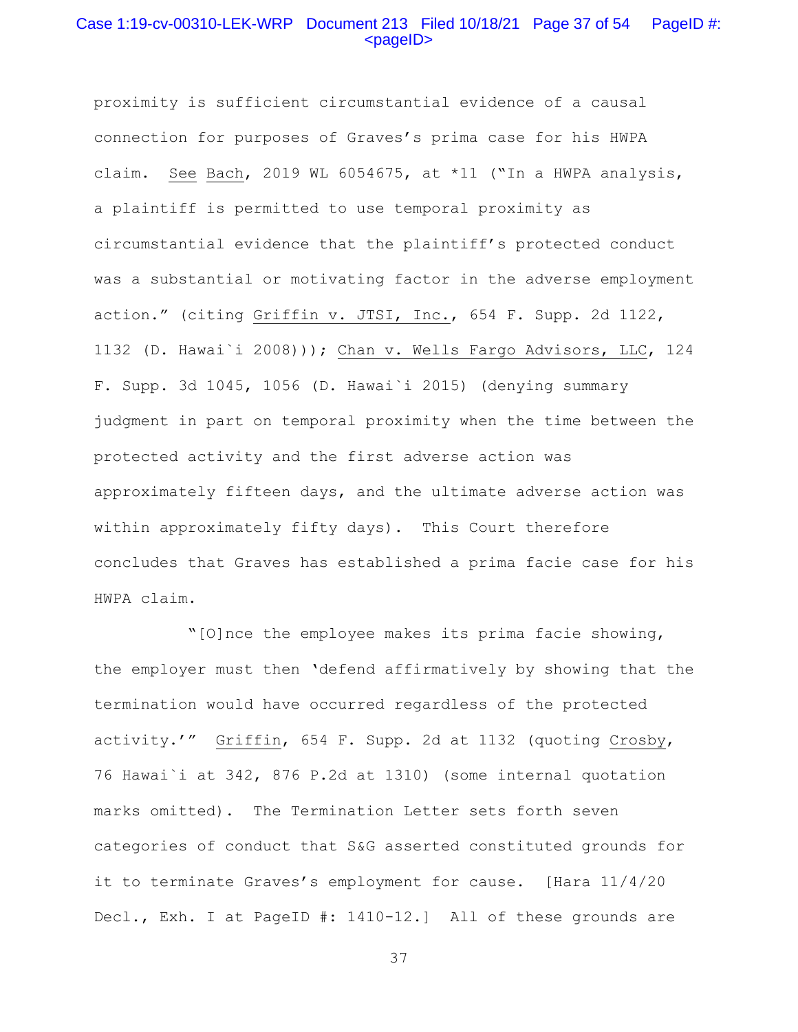# Case 1:19-cv-00310-LEK-WRP Document 213 Filed 10/18/21 Page 37 of 54 PageID #: <pageID>

proximity is sufficient circumstantial evidence of a causal connection for purposes of Graves's prima case for his HWPA claim. See Bach, 2019 WL 6054675, at \*11 ("In a HWPA analysis, a plaintiff is permitted to use temporal proximity as circumstantial evidence that the plaintiff's protected conduct was a substantial or motivating factor in the adverse employment action." (citing Griffin v. JTSI, Inc., 654 F. Supp. 2d 1122, 1132 (D. Hawai`i 2008))); Chan v. Wells Fargo Advisors, LLC, 124 F. Supp. 3d 1045, 1056 (D. Hawai`i 2015) (denying summary judgment in part on temporal proximity when the time between the protected activity and the first adverse action was approximately fifteen days, and the ultimate adverse action was within approximately fifty days). This Court therefore concludes that Graves has established a prima facie case for his HWPA claim.

 "[O]nce the employee makes its prima facie showing, the employer must then 'defend affirmatively by showing that the termination would have occurred regardless of the protected activity.'" Griffin, 654 F. Supp. 2d at 1132 (quoting Crosby, 76 Hawai`i at 342, 876 P.2d at 1310) (some internal quotation marks omitted). The Termination Letter sets forth seven categories of conduct that S&G asserted constituted grounds for it to terminate Graves's employment for cause. [Hara 11/4/20 Decl., Exh. I at PageID #: 1410-12.] All of these grounds are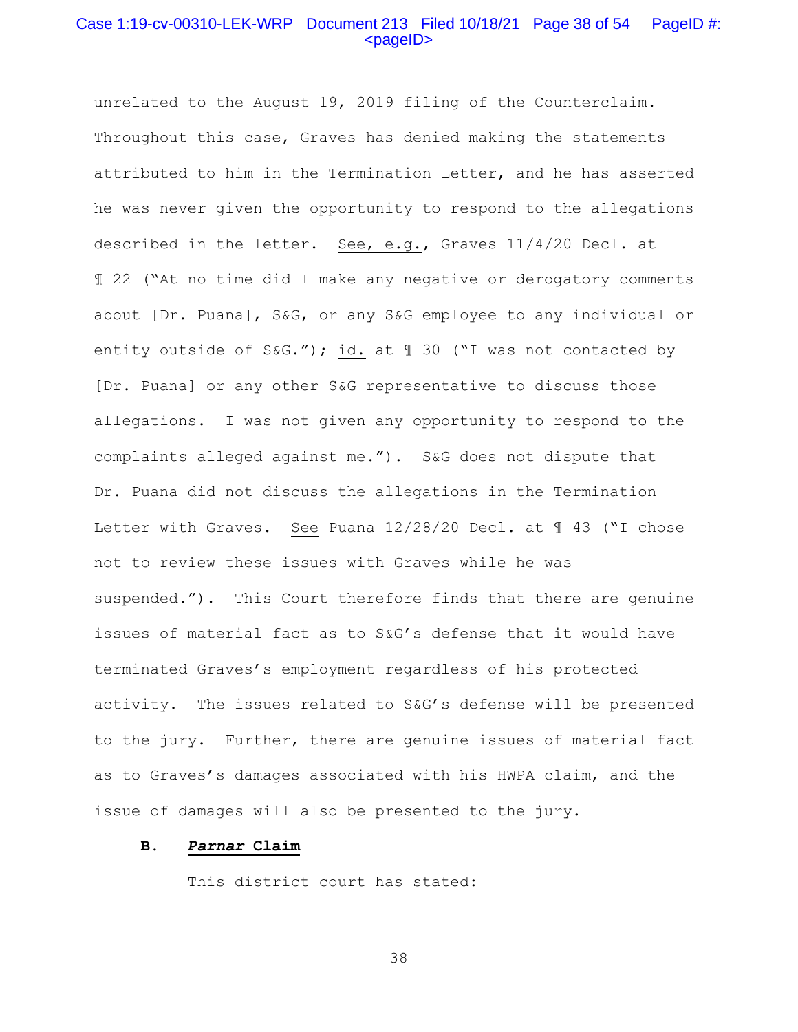# Case 1:19-cv-00310-LEK-WRP Document 213 Filed 10/18/21 Page 38 of 54 PageID #:  $<$ pageID $>$

unrelated to the August 19, 2019 filing of the Counterclaim. Throughout this case, Graves has denied making the statements attributed to him in the Termination Letter, and he has asserted he was never given the opportunity to respond to the allegations described in the letter. See, e.g., Graves 11/4/20 Decl. at ¶ 22 ("At no time did I make any negative or derogatory comments about [Dr. Puana], S&G, or any S&G employee to any individual or entity outside of S&G."); id. at ¶ 30 ("I was not contacted by [Dr. Puana] or any other S&G representative to discuss those allegations. I was not given any opportunity to respond to the complaints alleged against me."). S&G does not dispute that Dr. Puana did not discuss the allegations in the Termination Letter with Graves. See Puana 12/28/20 Decl. at  $\text{\textsterling}$  43 ("I chose not to review these issues with Graves while he was suspended."). This Court therefore finds that there are genuine issues of material fact as to S&G's defense that it would have terminated Graves's employment regardless of his protected activity. The issues related to S&G's defense will be presented to the jury. Further, there are genuine issues of material fact as to Graves's damages associated with his HWPA claim, and the issue of damages will also be presented to the jury.

# **B.** *Parnar* **Claim**

This district court has stated: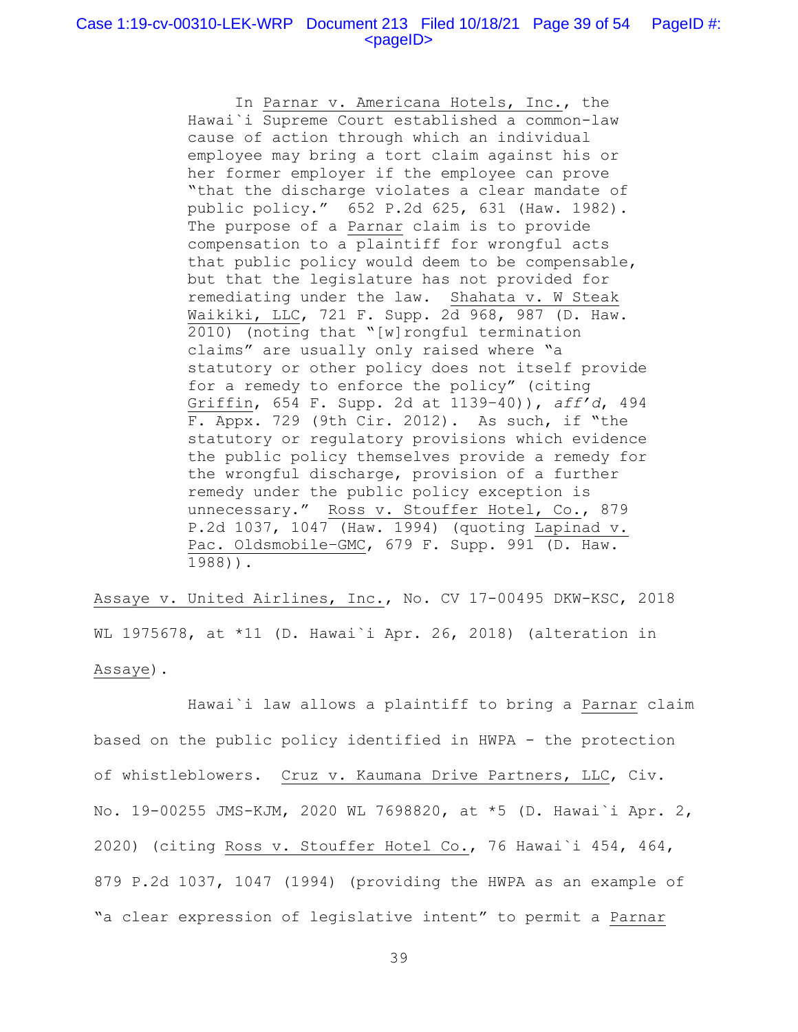In Parnar v. Americana Hotels, Inc., the Hawai`i Supreme Court established a common-law cause of action through which an individual employee may bring a tort claim against his or her former employer if the employee can prove "that the discharge violates a clear mandate of public policy." 652 P.2d 625, 631 (Haw. 1982). The purpose of a Parnar claim is to provide compensation to a plaintiff for wrongful acts that public policy would deem to be compensable, but that the legislature has not provided for remediating under the law. Shahata v. W Steak Waikiki, LLC, 721 F. Supp. 2d 968, 987 (D. Haw. 2010) (noting that "[w]rongful termination claims" are usually only raised where "a statutory or other policy does not itself provide for a remedy to enforce the policy" (citing Griffin, 654 F. Supp. 2d at 1139–40)), *aff'd*, 494 F. Appx. 729 (9th Cir. 2012). As such, if "the statutory or regulatory provisions which evidence the public policy themselves provide a remedy for the wrongful discharge, provision of a further remedy under the public policy exception is unnecessary." Ross v. Stouffer Hotel, Co., 879 P.2d 1037, 1047 (Haw. 1994) (quoting Lapinad v. Pac. Oldsmobile–GMC, 679 F. Supp. 991 (D. Haw. 1988)).

Assaye v. United Airlines, Inc., No. CV 17-00495 DKW-KSC, 2018 WL 1975678, at \*11 (D. Hawai`i Apr. 26, 2018) (alteration in Assaye).

 Hawai`i law allows a plaintiff to bring a Parnar claim based on the public policy identified in HWPA - the protection of whistleblowers. Cruz v. Kaumana Drive Partners, LLC, Civ. No. 19-00255 JMS-KJM, 2020 WL 7698820, at \*5 (D. Hawai`i Apr. 2, 2020) (citing Ross v. Stouffer Hotel Co., 76 Hawai`i 454, 464, 879 P.2d 1037, 1047 (1994) (providing the HWPA as an example of "a clear expression of legislative intent" to permit a Parnar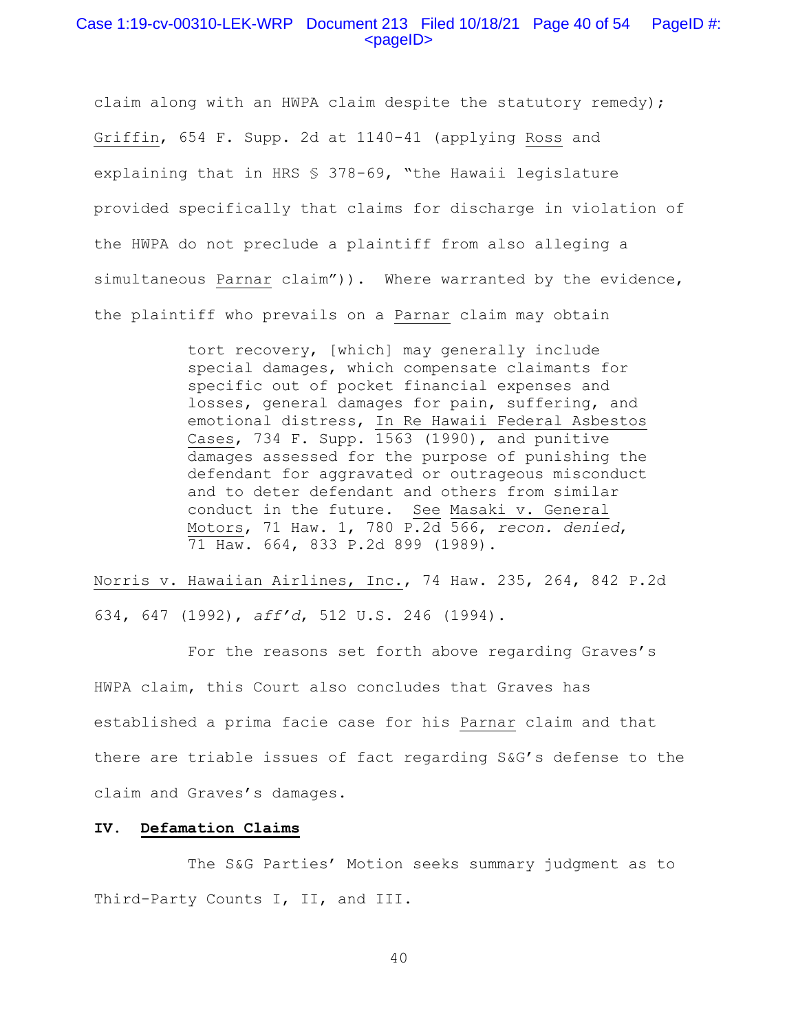# Case 1:19-cv-00310-LEK-WRP Document 213 Filed 10/18/21 Page 40 of 54 PageID #:  $<$ pageID $>$

claim along with an HWPA claim despite the statutory remedy); Griffin, 654 F. Supp. 2d at 1140-41 (applying Ross and explaining that in HRS § 378-69, "the Hawaii legislature provided specifically that claims for discharge in violation of the HWPA do not preclude a plaintiff from also alleging a simultaneous Parnar claim")). Where warranted by the evidence, the plaintiff who prevails on a Parnar claim may obtain

> tort recovery, [which] may generally include special damages, which compensate claimants for specific out of pocket financial expenses and losses, general damages for pain, suffering, and emotional distress, In Re Hawaii Federal Asbestos Cases, 734 F. Supp. 1563 (1990), and punitive damages assessed for the purpose of punishing the defendant for aggravated or outrageous misconduct and to deter defendant and others from similar conduct in the future. See Masaki v. General Motors, 71 Haw. 1, 780 P.2d 566, *recon. denied*, 71 Haw. 664, 833 P.2d 899 (1989).

Norris v. Hawaiian Airlines, Inc., 74 Haw. 235, 264, 842 P.2d 634, 647 (1992), *aff'd*, 512 U.S. 246 (1994).

 For the reasons set forth above regarding Graves's HWPA claim, this Court also concludes that Graves has established a prima facie case for his Parnar claim and that there are triable issues of fact regarding S&G's defense to the claim and Graves's damages.

#### **IV. Defamation Claims**

 The S&G Parties' Motion seeks summary judgment as to Third-Party Counts I, II, and III.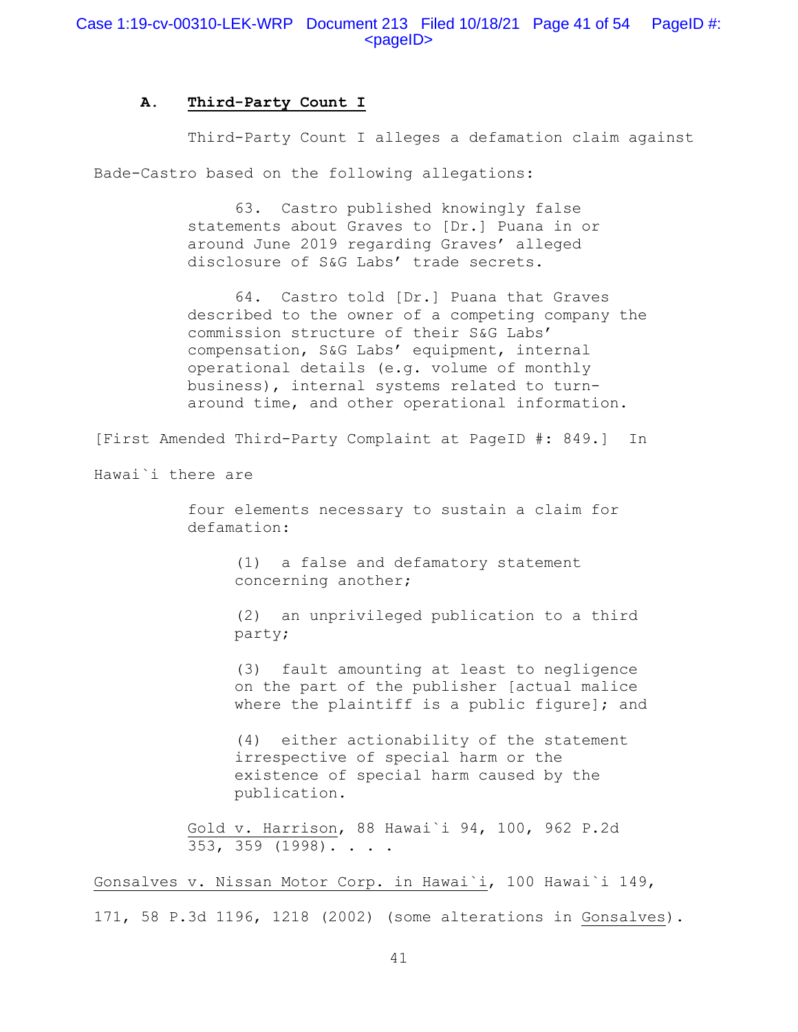# **A. Third-Party Count I**

 Third-Party Count I alleges a defamation claim against Bade-Castro based on the following allegations:

> 63. Castro published knowingly false statements about Graves to [Dr.] Puana in or around June 2019 regarding Graves' alleged disclosure of S&G Labs' trade secrets.

 64. Castro told [Dr.] Puana that Graves described to the owner of a competing company the commission structure of their S&G Labs' compensation, S&G Labs' equipment, internal operational details (e.g. volume of monthly business), internal systems related to turnaround time, and other operational information.

[First Amended Third-Party Complaint at PageID #: 849.] In

Hawai`i there are

four elements necessary to sustain a claim for defamation:

> (1) a false and defamatory statement concerning another;

(2) an unprivileged publication to a third party;

(3) fault amounting at least to negligence on the part of the publisher [actual malice where the plaintiff is a public figure]; and

(4) either actionability of the statement irrespective of special harm or the existence of special harm caused by the publication.

Gold v. Harrison, 88 Hawai`i 94, 100, 962 P.2d 353, 359 (1998). . . .

Gonsalves v. Nissan Motor Corp. in Hawai`i, 100 Hawai`i 149, 171, 58 P.3d 1196, 1218 (2002) (some alterations in Gonsalves).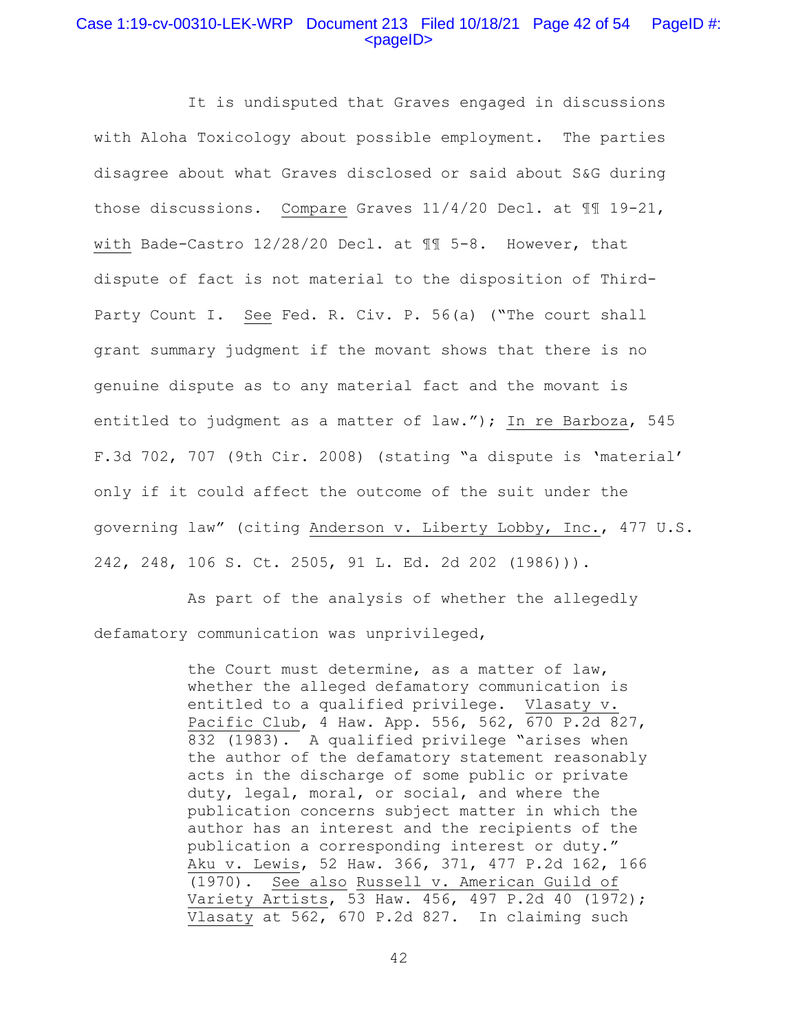# Case 1:19-cv-00310-LEK-WRP Document 213 Filed 10/18/21 Page 42 of 54 PageID #:  $<$ pageID $>$

 It is undisputed that Graves engaged in discussions with Aloha Toxicology about possible employment. The parties disagree about what Graves disclosed or said about S&G during those discussions. Compare Graves 11/4/20 Decl. at ¶¶ 19-21, with Bade-Castro 12/28/20 Decl. at ¶¶ 5-8. However, that dispute of fact is not material to the disposition of Third-Party Count I. See Fed. R. Civ. P. 56(a) ("The court shall grant summary judgment if the movant shows that there is no genuine dispute as to any material fact and the movant is entitled to judgment as a matter of law."); In re Barboza, 545 F.3d 702, 707 (9th Cir. 2008) (stating "a dispute is 'material' only if it could affect the outcome of the suit under the governing law" (citing Anderson v. Liberty Lobby, Inc., 477 U.S. 242, 248, 106 S. Ct. 2505, 91 L. Ed. 2d 202 (1986))).

 As part of the analysis of whether the allegedly defamatory communication was unprivileged,

> the Court must determine, as a matter of law, whether the alleged defamatory communication is entitled to a qualified privilege. Vlasaty v. Pacific Club, 4 Haw. App. 556, 562, 670 P.2d 827, 832 (1983). A qualified privilege "arises when the author of the defamatory statement reasonably acts in the discharge of some public or private duty, legal, moral, or social, and where the publication concerns subject matter in which the author has an interest and the recipients of the publication a corresponding interest or duty." Aku v. Lewis, 52 Haw. 366, 371, 477 P.2d 162, 166 (1970). See also Russell v. American Guild of Variety Artists, 53 Haw. 456, 497 P.2d 40 (1972); Vlasaty at 562, 670 P.2d 827. In claiming such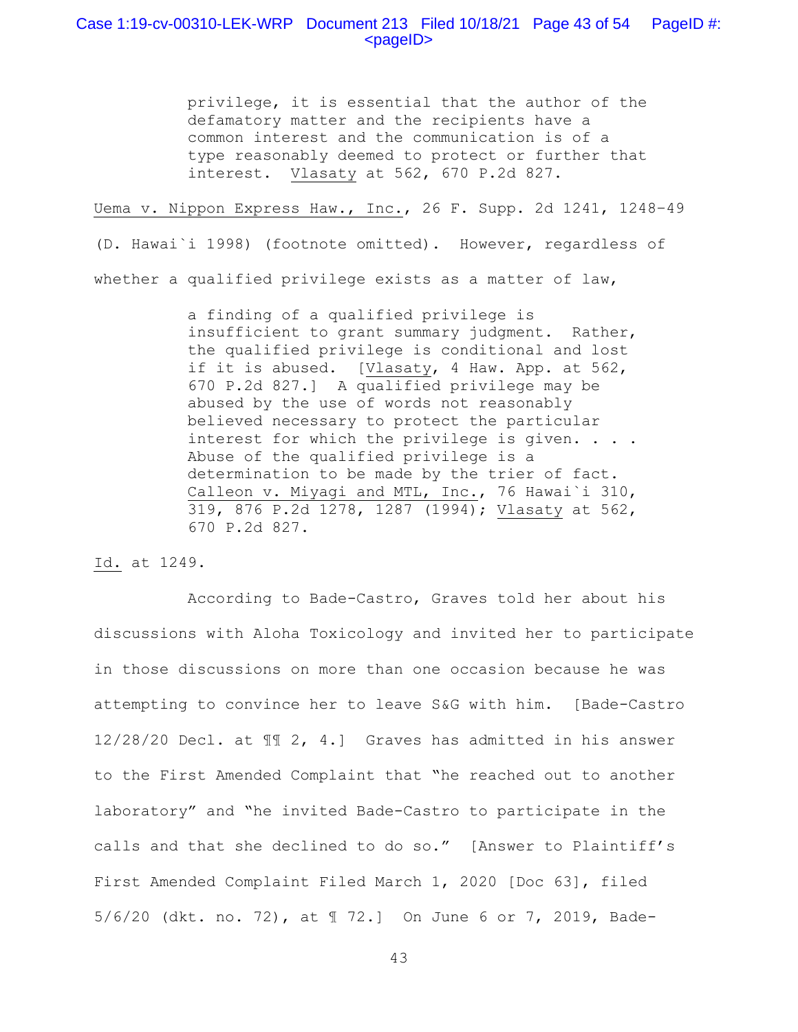# Case 1:19-cv-00310-LEK-WRP Document 213 Filed 10/18/21 Page 43 of 54 PageID #:  $<$ pageID $>$

privilege, it is essential that the author of the defamatory matter and the recipients have a common interest and the communication is of a type reasonably deemed to protect or further that interest. Vlasaty at 562, 670 P.2d 827.

Uema v. Nippon Express Haw., Inc., 26 F. Supp. 2d 1241, 1248–49

(D. Hawai`i 1998) (footnote omitted). However, regardless of whether a qualified privilege exists as a matter of law,

> a finding of a qualified privilege is insufficient to grant summary judgment. Rather, the qualified privilege is conditional and lost if it is abused. [Vlasaty, 4 Haw. App. at 562, 670 P.2d 827.] A qualified privilege may be abused by the use of words not reasonably believed necessary to protect the particular interest for which the privilege is given. . . . Abuse of the qualified privilege is a determination to be made by the trier of fact. Calleon v. Miyagi and MTL, Inc., 76 Hawai`i 310, 319, 876 P.2d 1278, 1287 (1994); Vlasaty at 562, 670 P.2d 827.

Id. at 1249.

 According to Bade-Castro, Graves told her about his discussions with Aloha Toxicology and invited her to participate in those discussions on more than one occasion because he was attempting to convince her to leave S&G with him. [Bade-Castro 12/28/20 Decl. at ¶¶ 2, 4.] Graves has admitted in his answer to the First Amended Complaint that "he reached out to another laboratory" and "he invited Bade-Castro to participate in the calls and that she declined to do so." [Answer to Plaintiff's First Amended Complaint Filed March 1, 2020 [Doc 63], filed 5/6/20 (dkt. no. 72), at ¶ 72.] On June 6 or 7, 2019, Bade-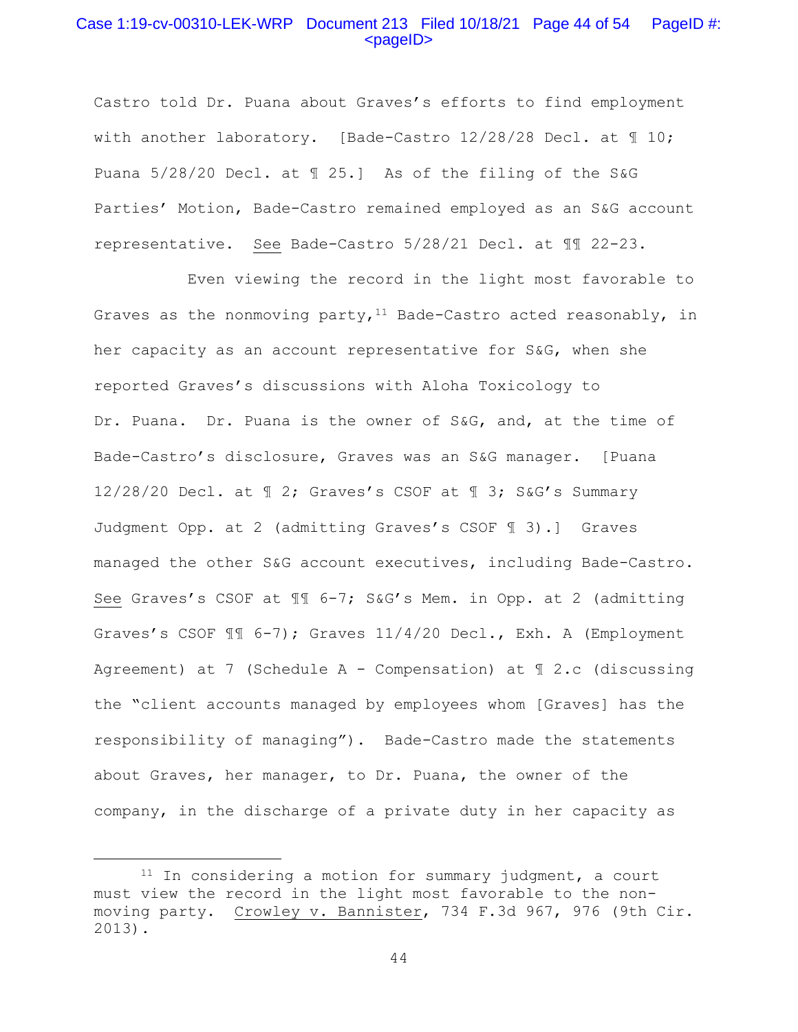# Case 1:19-cv-00310-LEK-WRP Document 213 Filed 10/18/21 Page 44 of 54 PageID #: <pageID>

Castro told Dr. Puana about Graves's efforts to find employment with another laboratory. [Bade-Castro  $12/28/28$  Decl. at  $\text{\textsterling} 10$ ; Puana 5/28/20 Decl. at ¶ 25.] As of the filing of the S&G Parties' Motion, Bade-Castro remained employed as an S&G account representative. See Bade-Castro 5/28/21 Decl. at ¶¶ 22-23.

 Even viewing the record in the light most favorable to Graves as the nonmoving party,  $11$  Bade-Castro acted reasonably, in her capacity as an account representative for S&G, when she reported Graves's discussions with Aloha Toxicology to Dr. Puana. Dr. Puana is the owner of S&G, and, at the time of Bade-Castro's disclosure, Graves was an S&G manager. [Puana 12/28/20 Decl. at ¶ 2; Graves's CSOF at ¶ 3; S&G's Summary Judgment Opp. at 2 (admitting Graves's CSOF ¶ 3).] Graves managed the other S&G account executives, including Bade-Castro. See Graves's CSOF at ¶¶ 6-7; S&G's Mem. in Opp. at 2 (admitting Graves's CSOF ¶¶ 6-7); Graves 11/4/20 Decl., Exh. A (Employment Agreement) at 7 (Schedule A - Compensation) at  $\mathbb I$  2.c (discussing the "client accounts managed by employees whom [Graves] has the responsibility of managing"). Bade-Castro made the statements about Graves, her manager, to Dr. Puana, the owner of the company, in the discharge of a private duty in her capacity as

<sup>&</sup>lt;sup>11</sup> In considering a motion for summary judgment, a court must view the record in the light most favorable to the nonmoving party. Crowley v. Bannister, 734 F.3d 967, 976 (9th Cir. 2013).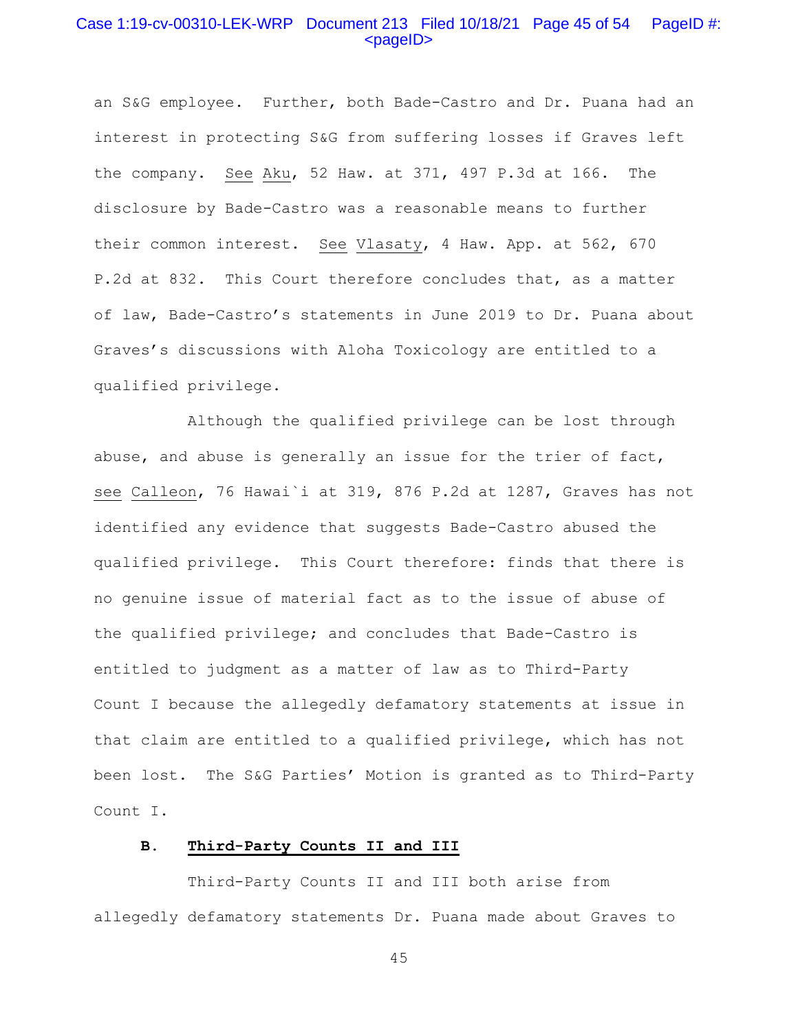# Case 1:19-cv-00310-LEK-WRP Document 213 Filed 10/18/21 Page 45 of 54 PageID #: <pageID>

an S&G employee. Further, both Bade-Castro and Dr. Puana had an interest in protecting S&G from suffering losses if Graves left the company. See Aku, 52 Haw. at 371, 497 P.3d at 166. The disclosure by Bade-Castro was a reasonable means to further their common interest. See Vlasaty, 4 Haw. App. at 562, 670 P.2d at 832. This Court therefore concludes that, as a matter of law, Bade-Castro's statements in June 2019 to Dr. Puana about Graves's discussions with Aloha Toxicology are entitled to a qualified privilege.

 Although the qualified privilege can be lost through abuse, and abuse is generally an issue for the trier of fact, see Calleon, 76 Hawai`i at 319, 876 P.2d at 1287, Graves has not identified any evidence that suggests Bade-Castro abused the qualified privilege. This Court therefore: finds that there is no genuine issue of material fact as to the issue of abuse of the qualified privilege; and concludes that Bade-Castro is entitled to judgment as a matter of law as to Third-Party Count I because the allegedly defamatory statements at issue in that claim are entitled to a qualified privilege, which has not been lost. The S&G Parties' Motion is granted as to Third-Party Count I.

# **B. Third-Party Counts II and III**

 Third-Party Counts II and III both arise from allegedly defamatory statements Dr. Puana made about Graves to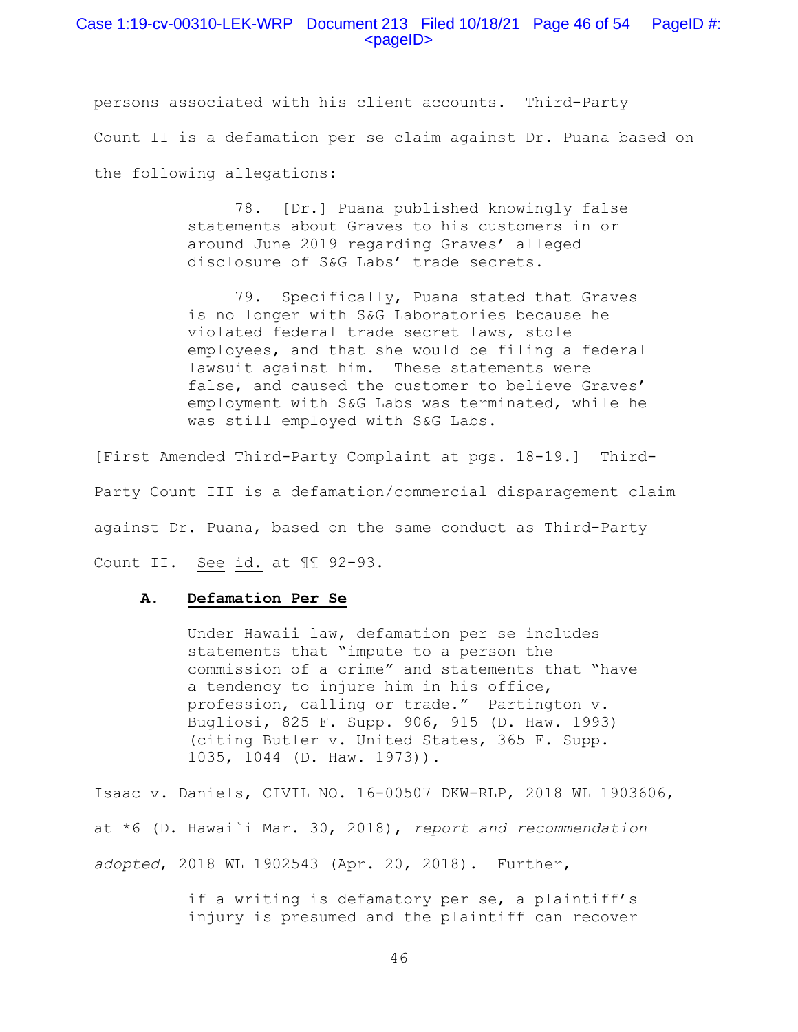# Case 1:19-cv-00310-LEK-WRP Document 213 Filed 10/18/21 Page 46 of 54 PageID #:  $<$ pageID $>$

persons associated with his client accounts. Third-Party Count II is a defamation per se claim against Dr. Puana based on the following allegations:

> 78. [Dr.] Puana published knowingly false statements about Graves to his customers in or around June 2019 regarding Graves' alleged disclosure of S&G Labs' trade secrets.

 79. Specifically, Puana stated that Graves is no longer with S&G Laboratories because he violated federal trade secret laws, stole employees, and that she would be filing a federal lawsuit against him. These statements were false, and caused the customer to believe Graves' employment with S&G Labs was terminated, while he was still employed with S&G Labs.

[First Amended Third-Party Complaint at pgs. 18-19.] Third-Party Count III is a defamation/commercial disparagement claim against Dr. Puana, based on the same conduct as Third-Party Count II. See id. at ¶¶ 92-93.

#### **A. Defamation Per Se**

Under Hawaii law, defamation per se includes statements that "impute to a person the commission of a crime" and statements that "have a tendency to injure him in his office, profession, calling or trade." Partington v. Bugliosi, 825 F. Supp. 906, 915 (D. Haw. 1993) (citing Butler v. United States, 365 F. Supp. 1035, 1044 (D. Haw. 1973)).

Isaac v. Daniels, CIVIL NO. 16-00507 DKW-RLP, 2018 WL 1903606, at \*6 (D. Hawai`i Mar. 30, 2018), *report and recommendation adopted*, 2018 WL 1902543 (Apr. 20, 2018). Further,

> if a writing is defamatory per se, a plaintiff's injury is presumed and the plaintiff can recover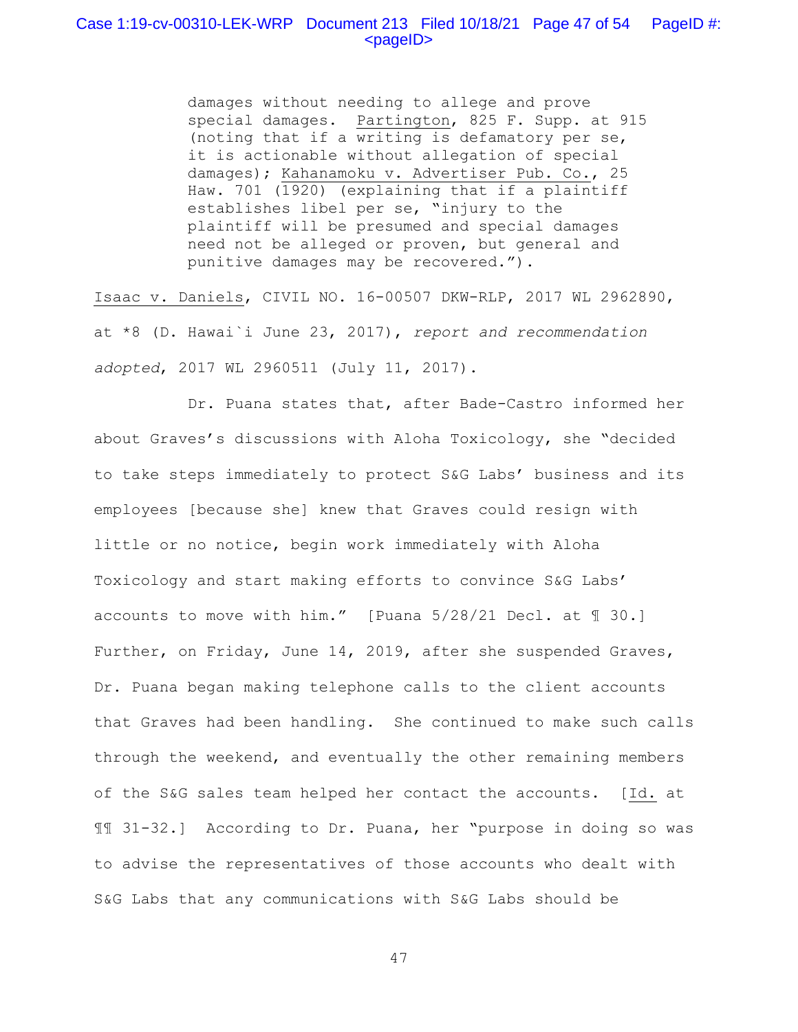# Case 1:19-cv-00310-LEK-WRP Document 213 Filed 10/18/21 Page 47 of 54 PageID #:  $<$ pageID $>$

damages without needing to allege and prove special damages. Partington, 825 F. Supp. at 915 (noting that if a writing is defamatory per se, it is actionable without allegation of special damages); Kahanamoku v. Advertiser Pub. Co., 25 Haw. 701 (1920) (explaining that if a plaintiff establishes libel per se, "injury to the plaintiff will be presumed and special damages need not be alleged or proven, but general and punitive damages may be recovered.").

Isaac v. Daniels, CIVIL NO. 16-00507 DKW-RLP, 2017 WL 2962890, at \*8 (D. Hawai`i June 23, 2017), *report and recommendation adopted*, 2017 WL 2960511 (July 11, 2017).

 Dr. Puana states that, after Bade-Castro informed her about Graves's discussions with Aloha Toxicology, she "decided to take steps immediately to protect S&G Labs' business and its employees [because she] knew that Graves could resign with little or no notice, begin work immediately with Aloha Toxicology and start making efforts to convince S&G Labs' accounts to move with him." [Puana 5/28/21 Decl. at ¶ 30.] Further, on Friday, June 14, 2019, after she suspended Graves, Dr. Puana began making telephone calls to the client accounts that Graves had been handling. She continued to make such calls through the weekend, and eventually the other remaining members of the S&G sales team helped her contact the accounts. [Id. at ¶¶ 31-32.] According to Dr. Puana, her "purpose in doing so was to advise the representatives of those accounts who dealt with S&G Labs that any communications with S&G Labs should be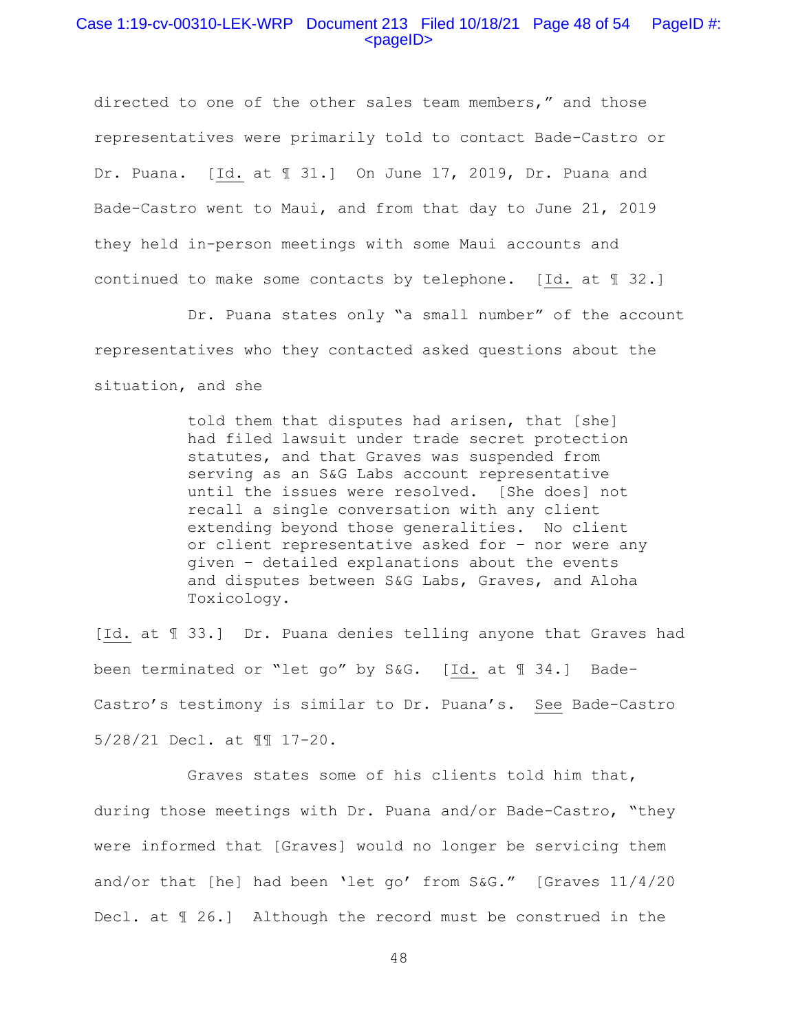# Case 1:19-cv-00310-LEK-WRP Document 213 Filed 10/18/21 Page 48 of 54 PageID #:  $<$ pageID $>$

directed to one of the other sales team members," and those representatives were primarily told to contact Bade-Castro or Dr. Puana. [Id. at ¶ 31.] On June 17, 2019, Dr. Puana and Bade-Castro went to Maui, and from that day to June 21, 2019 they held in-person meetings with some Maui accounts and continued to make some contacts by telephone. [Id. at ¶ 32.]

 Dr. Puana states only "a small number" of the account representatives who they contacted asked questions about the situation, and she

> told them that disputes had arisen, that [she] had filed lawsuit under trade secret protection statutes, and that Graves was suspended from serving as an S&G Labs account representative until the issues were resolved. [She does] not recall a single conversation with any client extending beyond those generalities. No client or client representative asked for – nor were any given – detailed explanations about the events and disputes between S&G Labs, Graves, and Aloha Toxicology.

[Id. at ¶ 33.] Dr. Puana denies telling anyone that Graves had been terminated or "let go" by S&G. [Id. at ¶ 34.] Bade-Castro's testimony is similar to Dr. Puana's. See Bade-Castro 5/28/21 Decl. at ¶¶ 17-20.

 Graves states some of his clients told him that, during those meetings with Dr. Puana and/or Bade-Castro, "they were informed that [Graves] would no longer be servicing them and/or that [he] had been 'let go' from S&G." [Graves 11/4/20 Decl. at ¶ 26.] Although the record must be construed in the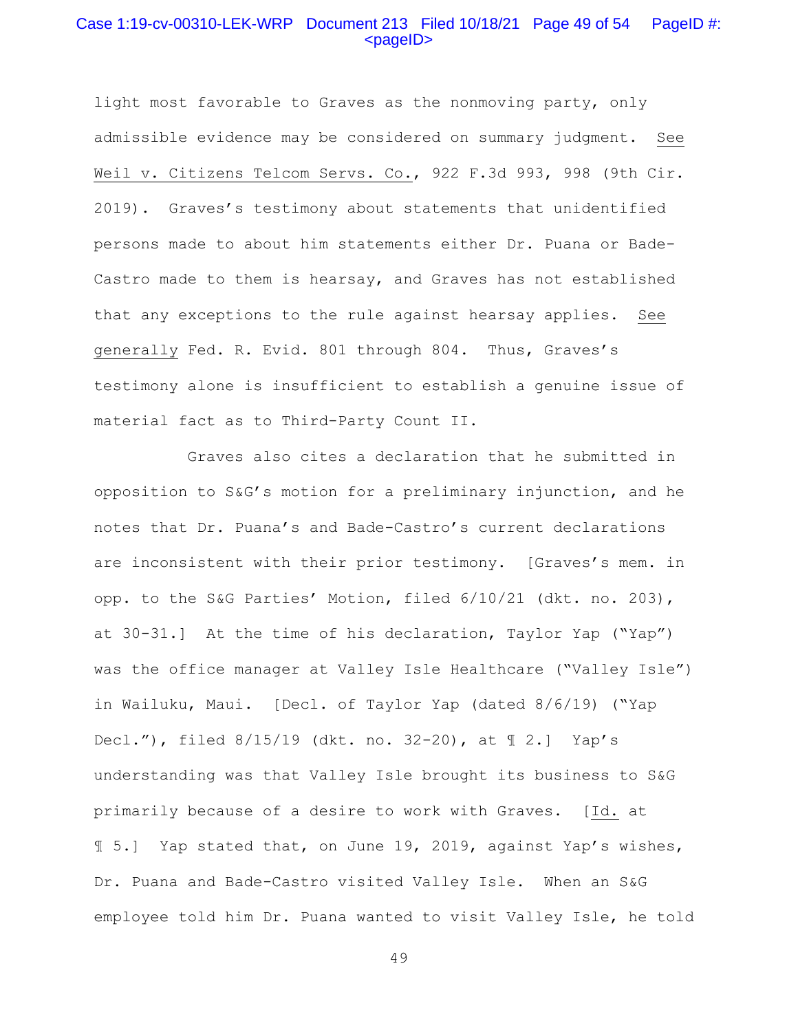# Case 1:19-cv-00310-LEK-WRP Document 213 Filed 10/18/21 Page 49 of 54 PageID #:  $<sub>pa</sub>$ gelD $>$ </sub>

light most favorable to Graves as the nonmoving party, only admissible evidence may be considered on summary judgment. See Weil v. Citizens Telcom Servs. Co., 922 F.3d 993, 998 (9th Cir. 2019). Graves's testimony about statements that unidentified persons made to about him statements either Dr. Puana or Bade-Castro made to them is hearsay, and Graves has not established that any exceptions to the rule against hearsay applies. See generally Fed. R. Evid. 801 through 804. Thus, Graves's testimony alone is insufficient to establish a genuine issue of material fact as to Third-Party Count II.

 Graves also cites a declaration that he submitted in opposition to S&G's motion for a preliminary injunction, and he notes that Dr. Puana's and Bade-Castro's current declarations are inconsistent with their prior testimony. [Graves's mem. in opp. to the S&G Parties' Motion, filed 6/10/21 (dkt. no. 203), at 30-31.] At the time of his declaration, Taylor Yap ("Yap") was the office manager at Valley Isle Healthcare ("Valley Isle") in Wailuku, Maui. [Decl. of Taylor Yap (dated 8/6/19) ("Yap Decl."), filed 8/15/19 (dkt. no. 32-20), at ¶ 2.] Yap's understanding was that Valley Isle brought its business to S&G primarily because of a desire to work with Graves. [Id. at ¶ 5.] Yap stated that, on June 19, 2019, against Yap's wishes, Dr. Puana and Bade-Castro visited Valley Isle. When an S&G employee told him Dr. Puana wanted to visit Valley Isle, he told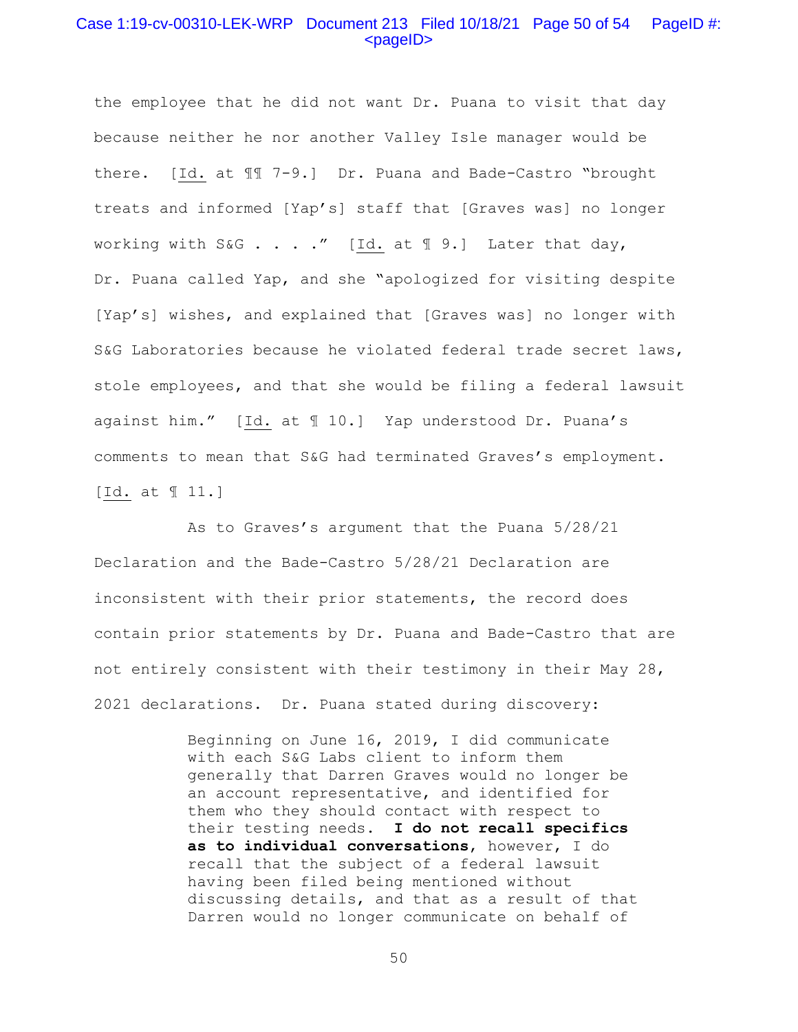# Case 1:19-cv-00310-LEK-WRP Document 213 Filed 10/18/21 Page 50 of 54 PageID #:  $<$ pageID $>$

the employee that he did not want Dr. Puana to visit that day because neither he nor another Valley Isle manager would be there. [Id. at ¶¶ 7-9.] Dr. Puana and Bade-Castro "brought treats and informed [Yap's] staff that [Graves was] no longer working with S&G . . . ." [Id. at  $\mathbb{I}$  9.] Later that day, Dr. Puana called Yap, and she "apologized for visiting despite [Yap's] wishes, and explained that [Graves was] no longer with S&G Laboratories because he violated federal trade secret laws, stole employees, and that she would be filing a federal lawsuit against him." [Id. at ¶ 10.] Yap understood Dr. Puana's comments to mean that S&G had terminated Graves's employment. [Id. at ¶ 11.]

 As to Graves's argument that the Puana 5/28/21 Declaration and the Bade-Castro 5/28/21 Declaration are inconsistent with their prior statements, the record does contain prior statements by Dr. Puana and Bade-Castro that are not entirely consistent with their testimony in their May 28, 2021 declarations. Dr. Puana stated during discovery:

> Beginning on June 16, 2019, I did communicate with each S&G Labs client to inform them generally that Darren Graves would no longer be an account representative, and identified for them who they should contact with respect to their testing needs. **I do not recall specifics as to individual conversations**, however, I do recall that the subject of a federal lawsuit having been filed being mentioned without discussing details, and that as a result of that Darren would no longer communicate on behalf of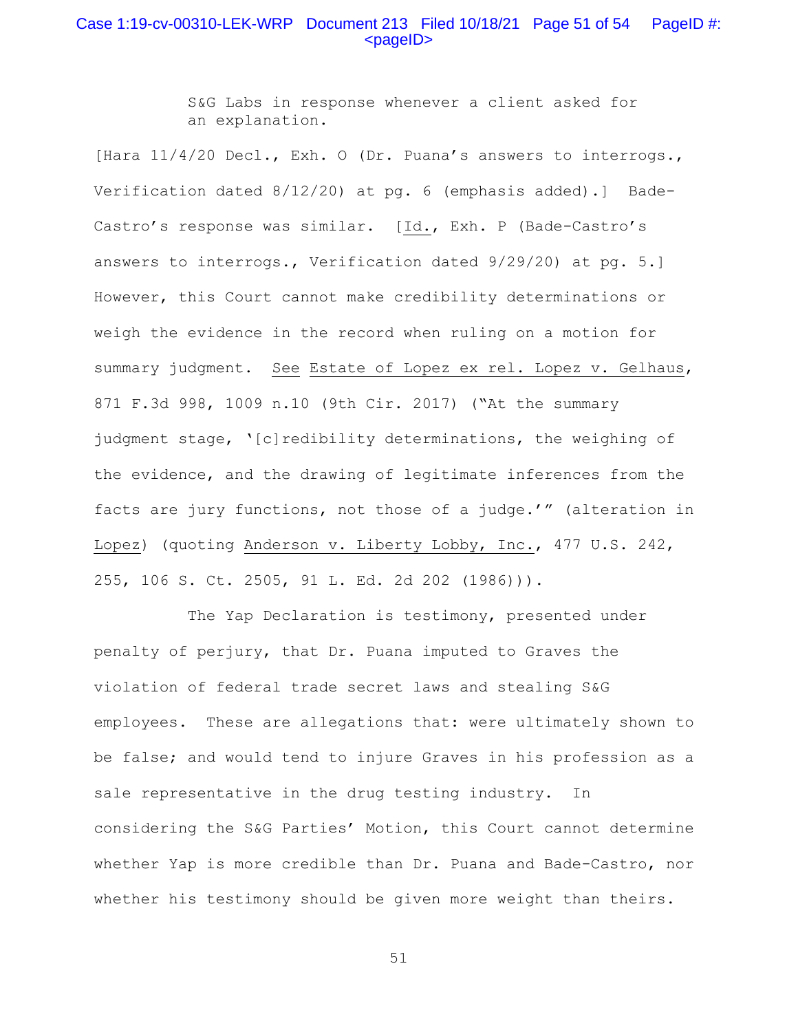# Case 1:19-cv-00310-LEK-WRP Document 213 Filed 10/18/21 Page 51 of 54 PageID #:  $<$ pageID $>$

S&G Labs in response whenever a client asked for an explanation.

[Hara 11/4/20 Decl., Exh. O (Dr. Puana's answers to interrogs., Verification dated 8/12/20) at pg. 6 (emphasis added).] Bade-Castro's response was similar. [Id., Exh. P (Bade-Castro's answers to interrogs., Verification dated 9/29/20) at pg. 5.] However, this Court cannot make credibility determinations or weigh the evidence in the record when ruling on a motion for summary judgment. See Estate of Lopez ex rel. Lopez v. Gelhaus, 871 F.3d 998, 1009 n.10 (9th Cir. 2017) ("At the summary judgment stage, '[c]redibility determinations, the weighing of the evidence, and the drawing of legitimate inferences from the facts are jury functions, not those of a judge.'" (alteration in Lopez) (quoting Anderson v. Liberty Lobby, Inc., 477 U.S. 242, 255, 106 S. Ct. 2505, 91 L. Ed. 2d 202 (1986))).

The Yap Declaration is testimony, presented under penalty of perjury, that Dr. Puana imputed to Graves the violation of federal trade secret laws and stealing S&G employees. These are allegations that: were ultimately shown to be false; and would tend to injure Graves in his profession as a sale representative in the drug testing industry. In considering the S&G Parties' Motion, this Court cannot determine whether Yap is more credible than Dr. Puana and Bade-Castro, nor whether his testimony should be given more weight than theirs.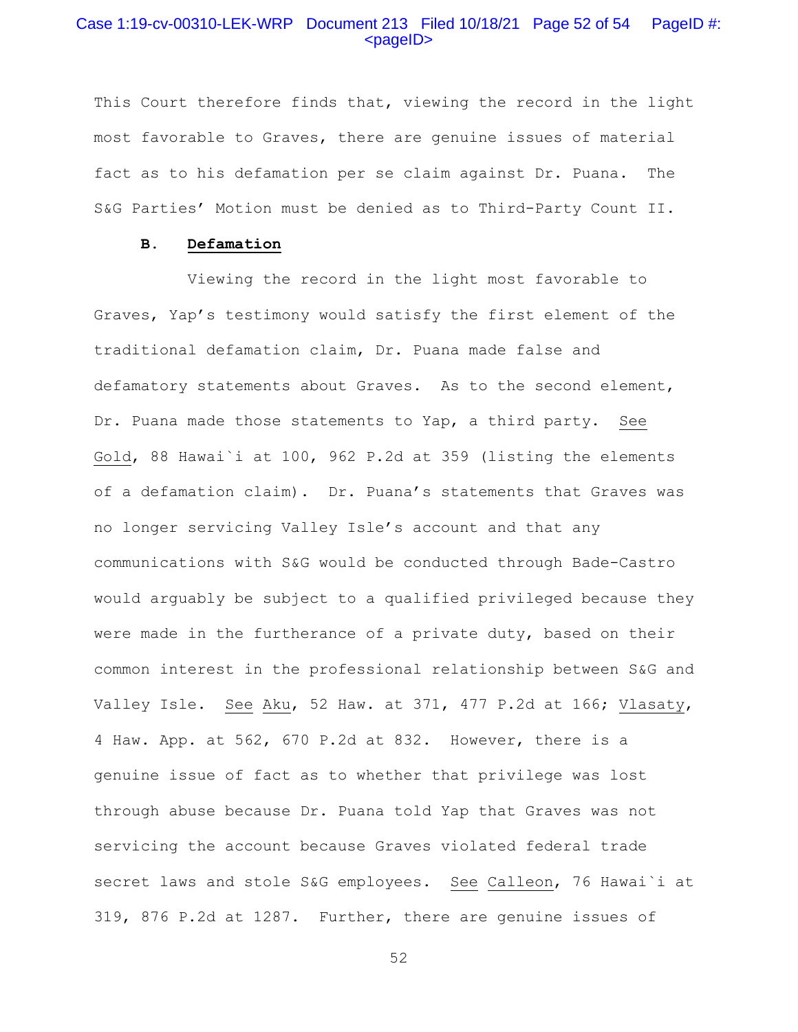# Case 1:19-cv-00310-LEK-WRP Document 213 Filed 10/18/21 Page 52 of 54 PageID #:  $<sub>pa</sub>$ gelD $>$ </sub>

This Court therefore finds that, viewing the record in the light most favorable to Graves, there are genuine issues of material fact as to his defamation per se claim against Dr. Puana. The S&G Parties' Motion must be denied as to Third-Party Count II.

#### **B. Defamation**

 Viewing the record in the light most favorable to Graves, Yap's testimony would satisfy the first element of the traditional defamation claim, Dr. Puana made false and defamatory statements about Graves. As to the second element, Dr. Puana made those statements to Yap, a third party. See Gold, 88 Hawai`i at 100, 962 P.2d at 359 (listing the elements of a defamation claim). Dr. Puana's statements that Graves was no longer servicing Valley Isle's account and that any communications with S&G would be conducted through Bade-Castro would arguably be subject to a qualified privileged because they were made in the furtherance of a private duty, based on their common interest in the professional relationship between S&G and Valley Isle. See Aku, 52 Haw. at 371, 477 P.2d at 166; Vlasaty, 4 Haw. App. at 562, 670 P.2d at 832. However, there is a genuine issue of fact as to whether that privilege was lost through abuse because Dr. Puana told Yap that Graves was not servicing the account because Graves violated federal trade secret laws and stole S&G employees. See Calleon, 76 Hawai`i at 319, 876 P.2d at 1287. Further, there are genuine issues of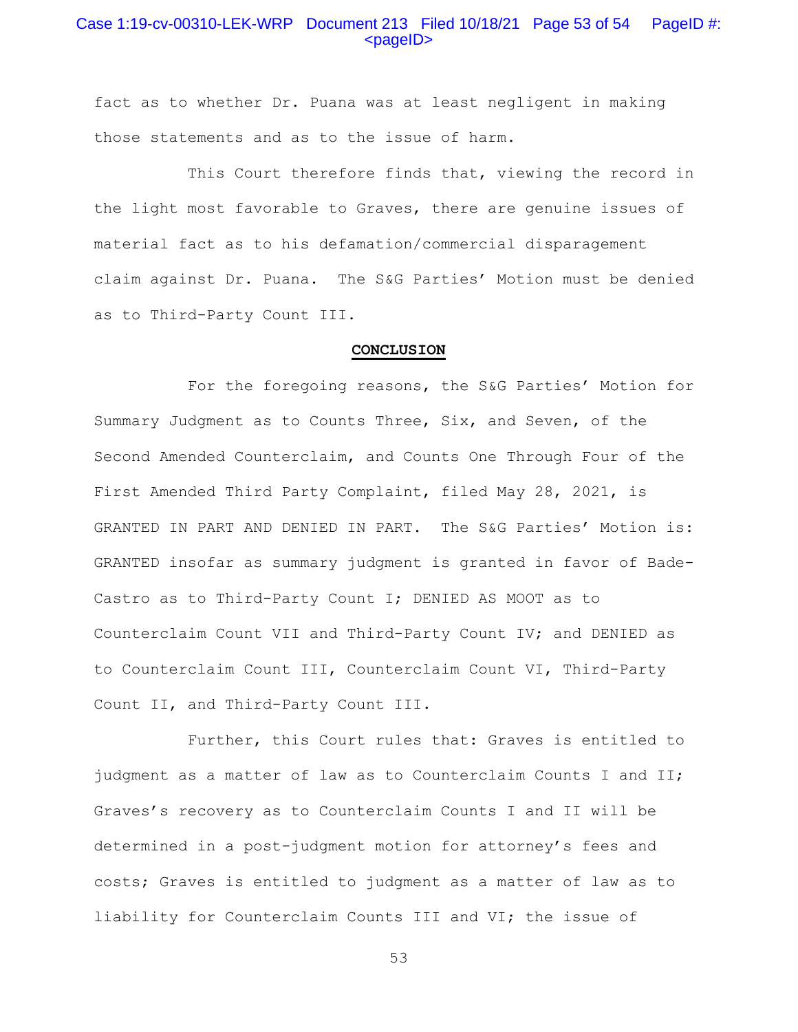# Case 1:19-cv-00310-LEK-WRP Document 213 Filed 10/18/21 Page 53 of 54 PageID #: <pageID>

fact as to whether Dr. Puana was at least negligent in making those statements and as to the issue of harm.

 This Court therefore finds that, viewing the record in the light most favorable to Graves, there are genuine issues of material fact as to his defamation/commercial disparagement claim against Dr. Puana. The S&G Parties' Motion must be denied as to Third-Party Count III.

#### **CONCLUSION**

 For the foregoing reasons, the S&G Parties' Motion for Summary Judgment as to Counts Three, Six, and Seven, of the Second Amended Counterclaim, and Counts One Through Four of the First Amended Third Party Complaint, filed May 28, 2021, is GRANTED IN PART AND DENIED IN PART. The S&G Parties' Motion is: GRANTED insofar as summary judgment is granted in favor of Bade-Castro as to Third-Party Count I; DENIED AS MOOT as to Counterclaim Count VII and Third-Party Count IV; and DENIED as to Counterclaim Count III, Counterclaim Count VI, Third-Party Count II, and Third-Party Count III.

 Further, this Court rules that: Graves is entitled to judgment as a matter of law as to Counterclaim Counts I and II; Graves's recovery as to Counterclaim Counts I and II will be determined in a post-judgment motion for attorney's fees and costs; Graves is entitled to judgment as a matter of law as to liability for Counterclaim Counts III and VI; the issue of